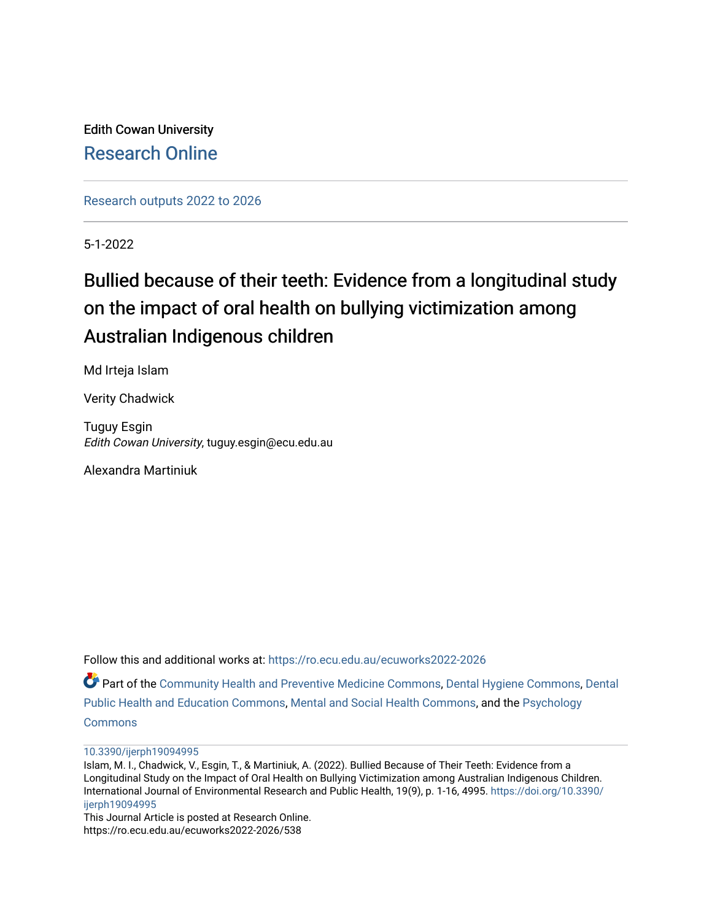Edith Cowan University [Research Online](https://ro.ecu.edu.au/) 

[Research outputs 2022 to 2026](https://ro.ecu.edu.au/ecuworks2022-2026) 

5-1-2022

# Bullied because of their teeth: Evidence from a longitudinal study on the impact of oral health on bullying victimization among Australian Indigenous children

Md Irteja Islam

Verity Chadwick

Tuguy Esgin Edith Cowan University, tuguy.esgin@ecu.edu.au

Alexandra Martiniuk

Follow this and additional works at: [https://ro.ecu.edu.au/ecuworks2022-2026](https://ro.ecu.edu.au/ecuworks2022-2026?utm_source=ro.ecu.edu.au%2Fecuworks2022-2026%2F538&utm_medium=PDF&utm_campaign=PDFCoverPages)

Part of the [Community Health and Preventive Medicine Commons](https://network.bepress.com/hgg/discipline/744?utm_source=ro.ecu.edu.au%2Fecuworks2022-2026%2F538&utm_medium=PDF&utm_campaign=PDFCoverPages), [Dental Hygiene Commons](https://network.bepress.com/hgg/discipline/1362?utm_source=ro.ecu.edu.au%2Fecuworks2022-2026%2F538&utm_medium=PDF&utm_campaign=PDFCoverPages), [Dental](https://network.bepress.com/hgg/discipline/653?utm_source=ro.ecu.edu.au%2Fecuworks2022-2026%2F538&utm_medium=PDF&utm_campaign=PDFCoverPages) [Public Health and Education Commons,](https://network.bepress.com/hgg/discipline/653?utm_source=ro.ecu.edu.au%2Fecuworks2022-2026%2F538&utm_medium=PDF&utm_campaign=PDFCoverPages) [Mental and Social Health Commons,](https://network.bepress.com/hgg/discipline/709?utm_source=ro.ecu.edu.au%2Fecuworks2022-2026%2F538&utm_medium=PDF&utm_campaign=PDFCoverPages) and the [Psychology](https://network.bepress.com/hgg/discipline/404?utm_source=ro.ecu.edu.au%2Fecuworks2022-2026%2F538&utm_medium=PDF&utm_campaign=PDFCoverPages)  **[Commons](https://network.bepress.com/hgg/discipline/404?utm_source=ro.ecu.edu.au%2Fecuworks2022-2026%2F538&utm_medium=PDF&utm_campaign=PDFCoverPages)** 

[10.3390/ijerph19094995](http://dx.doi.org/10.3390/ijerph19094995) 

This Journal Article is posted at Research Online. https://ro.ecu.edu.au/ecuworks2022-2026/538

Islam, M. I., Chadwick, V., Esgin, T., & Martiniuk, A. (2022). Bullied Because of Their Teeth: Evidence from a Longitudinal Study on the Impact of Oral Health on Bullying Victimization among Australian Indigenous Children. International Journal of Environmental Research and Public Health, 19(9), p. 1-16, 4995. [https://doi.org/10.3390/](https://doi.org/10.3390/ijerph19094995) [ijerph19094995](https://doi.org/10.3390/ijerph19094995)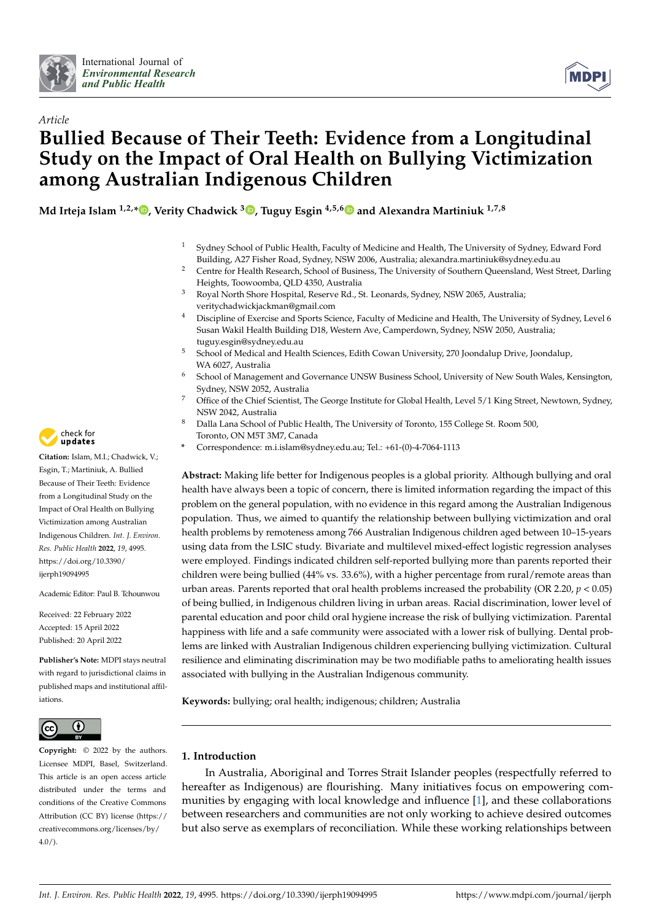



## *Article* **Bullied Because of Their Teeth: Evidence from a Longitudinal Study on the Impact of Oral Health on Bullying Victimization among Australian Indigenous Children**

**Md Irteja Islam 1,2,\* [,](https://orcid.org/0000-0001-7637-5907) Verity Chadwick <sup>3</sup> [,](https://orcid.org/0000-0003-4213-7219) Tuguy Esgin 4,5,[6](https://orcid.org/0000-0003-0277-4950) and Alexandra Martiniuk 1,7,8**

- <sup>1</sup> Sydney School of Public Health, Faculty of Medicine and Health, The University of Sydney, Edward Ford Building, A27 Fisher Road, Sydney, NSW 2006, Australia; alexandra.martiniuk@sydney.edu.au
- <sup>2</sup> Centre for Health Research, School of Business, The University of Southern Queensland, West Street, Darling Heights, Toowoomba, QLD 4350, Australia
- <sup>3</sup> Royal North Shore Hospital, Reserve Rd., St. Leonards, Sydney, NSW 2065, Australia; veritychadwickjackman@gmail.com
- <sup>4</sup> Discipline of Exercise and Sports Science, Faculty of Medicine and Health, The University of Sydney, Level 6 Susan Wakil Health Building D18, Western Ave, Camperdown, Sydney, NSW 2050, Australia; tuguy.esgin@sydney.edu.au
- <sup>5</sup> School of Medical and Health Sciences, Edith Cowan University, 270 Joondalup Drive, Joondalup, WA 6027, Australia
- <sup>6</sup> School of Management and Governance UNSW Business School, University of New South Wales, Kensington, Sydney, NSW 2052, Australia
- Office of the Chief Scientist, The George Institute for Global Health, Level 5/1 King Street, Newtown, Sydney, NSW 2042, Australia
- <sup>8</sup> Dalla Lana School of Public Health, The University of Toronto, 155 College St. Room 500, Toronto, ON M5T 3M7, Canada
- **\*** Correspondence: m.i.islam@sydney.edu.au; Tel.: +61-(0)-4-7064-1113

**Abstract:** Making life better for Indigenous peoples is a global priority. Although bullying and oral health have always been a topic of concern, there is limited information regarding the impact of this problem on the general population, with no evidence in this regard among the Australian Indigenous population. Thus, we aimed to quantify the relationship between bullying victimization and oral health problems by remoteness among 766 Australian Indigenous children aged between 10–15-years using data from the LSIC study. Bivariate and multilevel mixed-effect logistic regression analyses were employed. Findings indicated children self-reported bullying more than parents reported their children were being bullied (44% vs. 33.6%), with a higher percentage from rural/remote areas than urban areas. Parents reported that oral health problems increased the probability (OR 2.20,  $p < 0.05$ ) of being bullied, in Indigenous children living in urban areas. Racial discrimination, lower level of parental education and poor child oral hygiene increase the risk of bullying victimization. Parental happiness with life and a safe community were associated with a lower risk of bullying. Dental problems are linked with Australian Indigenous children experiencing bullying victimization. Cultural resilience and eliminating discrimination may be two modifiable paths to ameliorating health issues associated with bullying in the Australian Indigenous community.

**Keywords:** bullying; oral health; indigenous; children; Australia

### **1. Introduction**

In Australia, Aboriginal and Torres Strait Islander peoples (respectfully referred to hereafter as Indigenous) are flourishing. Many initiatives focus on empowering communities by engaging with local knowledge and influence [\[1\]](#page-13-0), and these collaborations between researchers and communities are not only working to achieve desired outcomes but also serve as exemplars of reconciliation. While these working relationships between



**Citation:** Islam, M.I.; Chadwick, V.; Esgin, T.; Martiniuk, A. Bullied Because of Their Teeth: Evidence from a Longitudinal Study on the Impact of Oral Health on Bullying Victimization among Australian Indigenous Children. *Int. J. Environ. Res. Public Health* **2022**, *19*, 4995. [https://doi.org/10.3390/](https://doi.org/10.3390/ijerph19094995) [ijerph19094995](https://doi.org/10.3390/ijerph19094995)

Academic Editor: Paul B. Tchounwou

Received: 22 February 2022 Accepted: 15 April 2022 Published: 20 April 2022

**Publisher's Note:** MDPI stays neutral with regard to jurisdictional claims in published maps and institutional affiliations.



**Copyright:** © 2022 by the authors. Licensee MDPI, Basel, Switzerland. This article is an open access article distributed under the terms and conditions of the Creative Commons Attribution (CC BY) license [\(https://](https://creativecommons.org/licenses/by/4.0/) [creativecommons.org/licenses/by/](https://creativecommons.org/licenses/by/4.0/)  $4.0/$ ).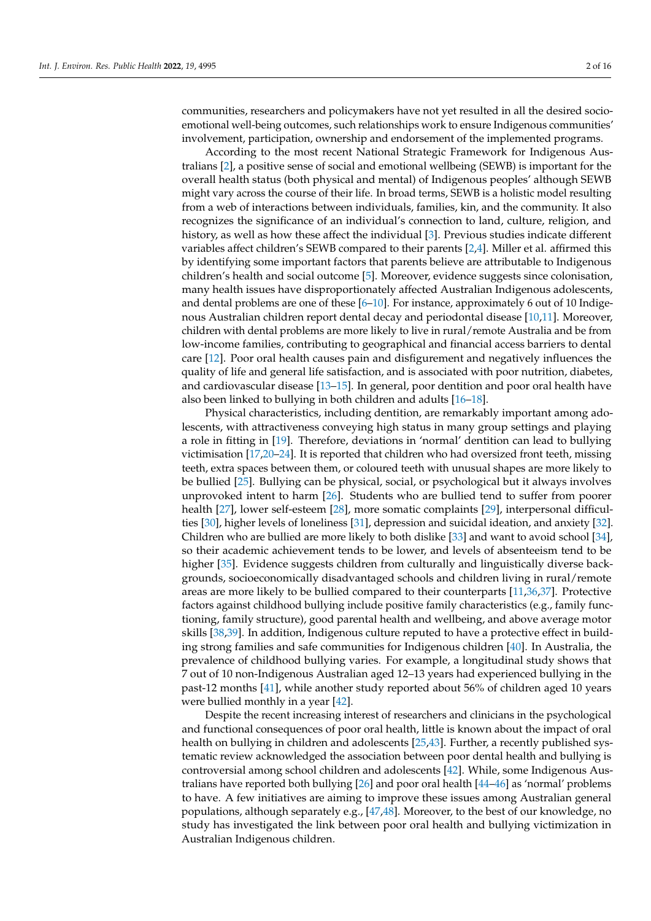communities, researchers and policymakers have not yet resulted in all the desired socioemotional well-being outcomes, such relationships work to ensure Indigenous communities' involvement, participation, ownership and endorsement of the implemented programs.

According to the most recent National Strategic Framework for Indigenous Australians [\[2\]](#page-13-1), a positive sense of social and emotional wellbeing (SEWB) is important for the overall health status (both physical and mental) of Indigenous peoples' although SEWB might vary across the course of their life. In broad terms, SEWB is a holistic model resulting from a web of interactions between individuals, families, kin, and the community. It also recognizes the significance of an individual's connection to land, culture, religion, and history, as well as how these affect the individual [\[3\]](#page-13-2). Previous studies indicate different variables affect children's SEWB compared to their parents [\[2](#page-13-1)[,4\]](#page-13-3). Miller et al. affirmed this by identifying some important factors that parents believe are attributable to Indigenous children's health and social outcome [\[5\]](#page-13-4). Moreover, evidence suggests since colonisation, many health issues have disproportionately affected Australian Indigenous adolescents, and dental problems are one of these [\[6–](#page-13-5)[10\]](#page-13-6). For instance, approximately 6 out of 10 Indigenous Australian children report dental decay and periodontal disease [\[10,](#page-13-6)[11\]](#page-13-7). Moreover, children with dental problems are more likely to live in rural/remote Australia and be from low-income families, contributing to geographical and financial access barriers to dental care [\[12\]](#page-13-8). Poor oral health causes pain and disfigurement and negatively influences the quality of life and general life satisfaction, and is associated with poor nutrition, diabetes, and cardiovascular disease [\[13–](#page-13-9)[15\]](#page-14-0). In general, poor dentition and poor oral health have also been linked to bullying in both children and adults [\[16](#page-14-1)[–18\]](#page-14-2).

Physical characteristics, including dentition, are remarkably important among adolescents, with attractiveness conveying high status in many group settings and playing a role in fitting in [\[19\]](#page-14-3). Therefore, deviations in 'normal' dentition can lead to bullying victimisation [\[17,](#page-14-4)[20](#page-14-5)[–24\]](#page-14-6). It is reported that children who had oversized front teeth, missing teeth, extra spaces between them, or coloured teeth with unusual shapes are more likely to be bullied [\[25\]](#page-14-7). Bullying can be physical, social, or psychological but it always involves unprovoked intent to harm [\[26\]](#page-14-8). Students who are bullied tend to suffer from poorer health [\[27\]](#page-14-9), lower self-esteem [\[28\]](#page-14-10), more somatic complaints [\[29\]](#page-14-11), interpersonal difficulties [\[30\]](#page-14-12), higher levels of loneliness [\[31\]](#page-14-13), depression and suicidal ideation, and anxiety [\[32\]](#page-14-14). Children who are bullied are more likely to both dislike [\[33\]](#page-14-15) and want to avoid school [\[34\]](#page-14-16), so their academic achievement tends to be lower, and levels of absenteeism tend to be higher [\[35\]](#page-14-17). Evidence suggests children from culturally and linguistically diverse backgrounds, socioeconomically disadvantaged schools and children living in rural/remote areas are more likely to be bullied compared to their counterparts [\[11,](#page-13-7)[36,](#page-14-18)[37\]](#page-14-19). Protective factors against childhood bullying include positive family characteristics (e.g., family functioning, family structure), good parental health and wellbeing, and above average motor skills [\[38,](#page-14-20)[39\]](#page-14-21). In addition, Indigenous culture reputed to have a protective effect in building strong families and safe communities for Indigenous children [\[40\]](#page-14-22). In Australia, the prevalence of childhood bullying varies. For example, a longitudinal study shows that 7 out of 10 non-Indigenous Australian aged 12–13 years had experienced bullying in the past-12 months [\[41\]](#page-14-23), while another study reported about 56% of children aged 10 years were bullied monthly in a year [\[42\]](#page-14-24).

Despite the recent increasing interest of researchers and clinicians in the psychological and functional consequences of poor oral health, little is known about the impact of oral health on bullying in children and adolescents [\[25](#page-14-7)[,43\]](#page-14-25). Further, a recently published systematic review acknowledged the association between poor dental health and bullying is controversial among school children and adolescents [\[42\]](#page-14-24). While, some Indigenous Australians have reported both bullying [\[26\]](#page-14-8) and poor oral health [\[44](#page-15-0)[–46\]](#page-15-1) as 'normal' problems to have. A few initiatives are aiming to improve these issues among Australian general populations, although separately e.g., [\[47](#page-15-2)[,48\]](#page-15-3). Moreover, to the best of our knowledge, no study has investigated the link between poor oral health and bullying victimization in Australian Indigenous children.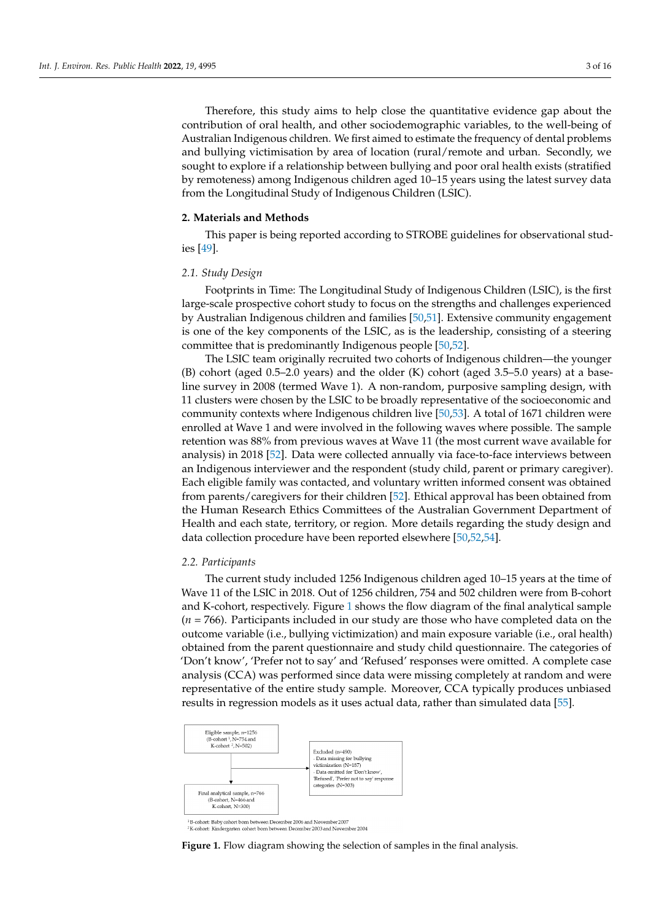Therefore, this study aims to help close the quantitative evidence gap about the contribution of oral health, and other sociodemographic variables, to the well-being of Australian Indigenous children. We first aimed to estimate the frequency of dental problems and bullying victimisation by area of location (rural/remote and urban. Secondly, we sought to explore if a relationship between bullying and poor oral health exists (stratified by remoteness) among Indigenous children aged 10–15 years using the latest survey data from the Longitudinal Study of Indigenous Children (LSIC).

#### **2. Materials and Methods**

This paper is being reported according to STROBE guidelines for observational studies [\[49\]](#page-15-4).

#### *2.1. Study Design*

Footprints in Time: The Longitudinal Study of Indigenous Children (LSIC), is the first large-scale prospective cohort study to focus on the strengths and challenges experienced by Australian Indigenous children and families [\[50,](#page-15-5)[51\]](#page-15-6). Extensive community engagement is one of the key components of the LSIC, as is the leadership, consisting of a steering committee that is predominantly Indigenous people [\[50,](#page-15-5)[52\]](#page-15-7).

The LSIC team originally recruited two cohorts of Indigenous children—the younger  $(B)$  cohort (aged 0.5–2.0 years) and the older  $(K)$  cohort (aged 3.5–5.0 years) at a baseline survey in 2008 (termed Wave 1). A non-random, purposive sampling design, with 11 clusters were chosen by the LSIC to be broadly representative of the socioeconomic and community contexts where Indigenous children live [\[50](#page-15-5)[,53\]](#page-15-8). A total of 1671 children were enrolled at Wave 1 and were involved in the following waves where possible. The sample retention was 88% from previous waves at Wave 11 (the most current wave available for analysis) in 2018 [\[52\]](#page-15-7). Data were collected annually via face-to-face interviews between an Indigenous interviewer and the respondent (study child, parent or primary caregiver). Each eligible family was contacted, and voluntary written informed consent was obtained from parents/caregivers for their children [\[52\]](#page-15-7). Ethical approval has been obtained from the Human Research Ethics Committees of the Australian Government Department of Health and each state, territory, or region. More details regarding the study design and data collection procedure have been reported elsewhere [\[50,](#page-15-5)[52,](#page-15-7)[54\]](#page-15-9).

#### *2.2. Participants*

The current study included 1256 Indigenous children aged 10–15 years at the time of Wave 11 of the LSIC in 2018. Out of 1256 children, 754 and 502 children were from B-cohort and K-cohort, respectively. Figure [1](#page-3-0) shows the flow diagram of the final analytical sample (*n* = 766). Participants included in our study are those who have completed data on the outcome variable (i.e., bullying victimization) and main exposure variable (i.e., oral health) obtained from the parent questionnaire and study child questionnaire. The categories of 'Don't know', 'Prefer not to say' and 'Refused' responses were omitted. A complete case analysis (CCA) was performed since data were missing completely at random and were representative of the entire study sample. Moreover, CCA typically produces unbiased *Int. J. Environ. Res. Public Health*  results in regression models as it uses actual data, rather than simulated data [ **2022**, *19*, x 4 of 18 [55\]](#page-15-10).

<span id="page-3-0"></span>

<sup>1</sup>B-cohort: Baby cohort born between December 2006 and November 2007<br><sup>2</sup>K-cohort: Kindergarten cohort born between December 2003 and November 2004

**Figure 1.** Flow diagram showing the selection of samples in the final analysis. **Figure 1.** Flow diagram showing the selection of samples in the final analysis.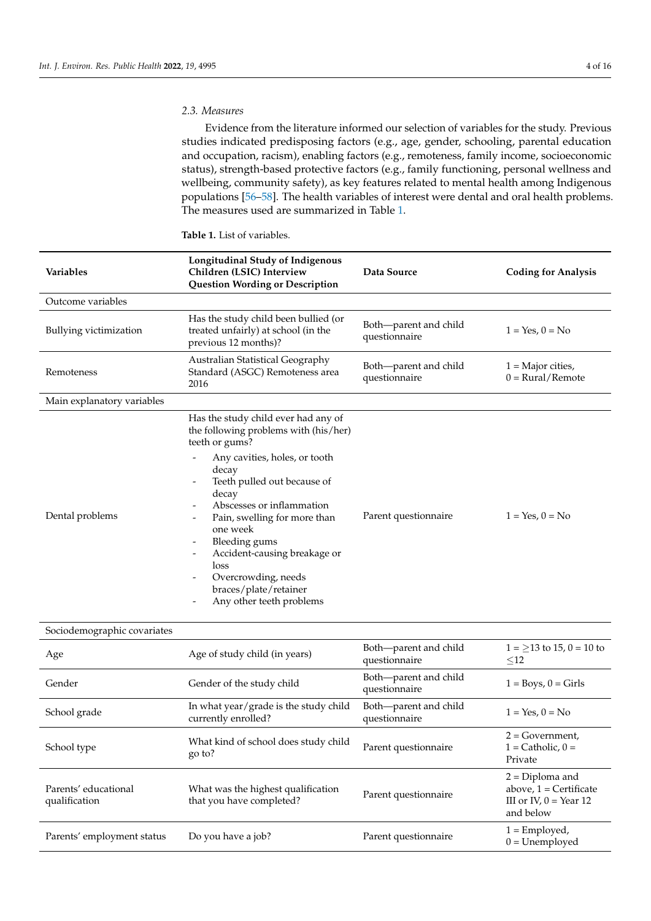#### *2.3. Measures*

Evidence from the literature informed our selection of variables for the study. Previous studies indicated predisposing factors (e.g., age, gender, schooling, parental education and occupation, racism), enabling factors (e.g., remoteness, family income, socioeconomic status), strength-based protective factors (e.g., family functioning, personal wellness and wellbeing, community safety), as key features related to mental health among Indigenous populations [\[56](#page-15-11)[–58\]](#page-15-12). The health variables of interest were dental and oral health problems. The measures used are summarized in Table [1.](#page-5-0)

| <b>Variables</b>           | Longitudinal Study of Indigenous<br>Children (LSIC) Interview<br><b>Question Wording or Description</b>                                                                                                                                                                                                                                                                                                                                                                            | Data Source                            | <b>Coding for Analysis</b>                              |
|----------------------------|------------------------------------------------------------------------------------------------------------------------------------------------------------------------------------------------------------------------------------------------------------------------------------------------------------------------------------------------------------------------------------------------------------------------------------------------------------------------------------|----------------------------------------|---------------------------------------------------------|
| Outcome variables          |                                                                                                                                                                                                                                                                                                                                                                                                                                                                                    |                                        |                                                         |
| Bullying victimization     | Has the study child been bullied (or<br>treated unfairly) at school (in the<br>previous 12 months)?                                                                                                                                                                                                                                                                                                                                                                                | Both-parent and child<br>questionnaire | $1 = Yes, 0 = No$                                       |
| Remoteness                 | Australian Statistical Geography<br>Standard (ASGC) Remoteness area<br>2016                                                                                                                                                                                                                                                                                                                                                                                                        | Both-parent and child<br>questionnaire | $1 =$ Major cities,<br>$0 = \text{Rural}/\text{Remote}$ |
| Main explanatory variables |                                                                                                                                                                                                                                                                                                                                                                                                                                                                                    |                                        |                                                         |
| Dental problems            | Has the study child ever had any of<br>the following problems with (his/her)<br>teeth or gums?<br>Any cavities, holes, or tooth<br>$\overline{\phantom{a}}$<br>decay<br>Teeth pulled out because of<br>$\overline{\phantom{a}}$<br>decay<br>Abscesses or inflammation<br>Pain, swelling for more than<br>one week<br>Bleeding gums<br>Accident-causing breakage or<br>$\overline{\phantom{a}}$<br>loss<br>Overcrowding, needs<br>braces/plate/retainer<br>Any other teeth problems | Parent questionnaire                   | $1 = Yes, 0 = No$                                       |

**Table 1.** List of variables.

### Sociodemographic covariates

| Age                                   | Age of study child (in years)                                  | Both-parent and child<br>questionnaire | $1 = 13$ to 15, 0 = 10 to<br>$\leq$ 12                                                 |
|---------------------------------------|----------------------------------------------------------------|----------------------------------------|----------------------------------------------------------------------------------------|
| Gender                                | Gender of the study child                                      | Both—parent and child<br>questionnaire | $1 = Boys, 0 = Girls$                                                                  |
| School grade                          | In what year/grade is the study child<br>currently enrolled?   | Both-parent and child<br>questionnaire | $1 = Yes. 0 = No$                                                                      |
| School type                           | What kind of school does study child<br>go to?                 | Parent questionnaire                   | $2 = Government$ ,<br>$1 =$ Catholic, $0 =$<br>Private                                 |
| Parents' educational<br>qualification | What was the highest qualification<br>that you have completed? | Parent questionnaire                   | $2 = Diploma$ and<br>above, $1 =$ Certificate<br>III or IV, $0 =$ Year 12<br>and below |
| Parents' employment status            | Do you have a job?                                             | Parent questionnaire                   | $1 =$ Employed,<br>$0 =$ Unemployed                                                    |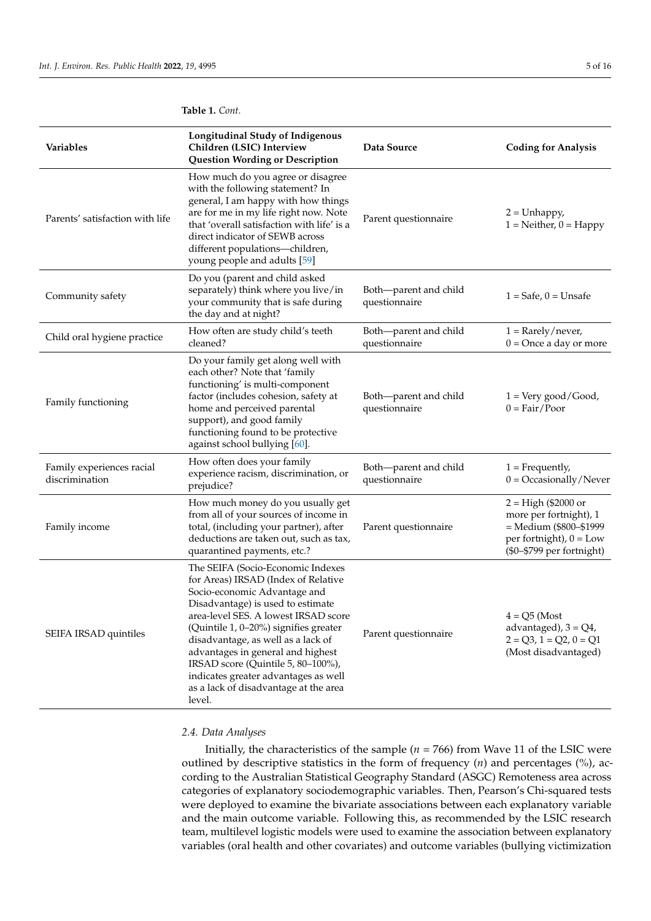| Variables                                   | <b>Longitudinal Study of Indigenous</b><br>Children (LSIC) Interview<br><b>Question Wording or Description</b>                                                                                                                                                                                                                                                                                                                             | Data Source                            | <b>Coding for Analysis</b>                                                                                                         |
|---------------------------------------------|--------------------------------------------------------------------------------------------------------------------------------------------------------------------------------------------------------------------------------------------------------------------------------------------------------------------------------------------------------------------------------------------------------------------------------------------|----------------------------------------|------------------------------------------------------------------------------------------------------------------------------------|
| Parents' satisfaction with life             | How much do you agree or disagree<br>with the following statement? In<br>general, I am happy with how things<br>are for me in my life right now. Note<br>that 'overall satisfaction with life' is a<br>direct indicator of SEWB across<br>different populations-children,<br>young people and adults [59]                                                                                                                                  | Parent questionnaire                   | $2 =$ Unhappy,<br>$1 = \text{Neither}, 0 = \text{Happy}$                                                                           |
| Community safety                            | Do you (parent and child asked<br>separately) think where you live/in<br>your community that is safe during<br>the day and at night?                                                                                                                                                                                                                                                                                                       | Both-parent and child<br>questionnaire | $1 =$ Safe, $0 =$ Unsafe                                                                                                           |
| Child oral hygiene practice                 | How often are study child's teeth<br>cleaned?                                                                                                                                                                                                                                                                                                                                                                                              | Both-parent and child<br>questionnaire | $1 =$ Rarely/never,<br>$0 =$ Once a day or more                                                                                    |
| Family functioning                          | Do your family get along well with<br>each other? Note that 'family<br>functioning' is multi-component<br>factor (includes cohesion, safety at<br>home and perceived parental<br>support), and good family<br>functioning found to be protective<br>against school bullying [60].                                                                                                                                                          | Both-parent and child<br>questionnaire | $1 = \text{Very good}/\text{Good}$ ,<br>$0 = \text{Fair}/\text{Poor}$                                                              |
| Family experiences racial<br>discrimination | How often does your family<br>experience racism, discrimination, or<br>prejudice?                                                                                                                                                                                                                                                                                                                                                          | Both-parent and child<br>questionnaire | $1 =$ Frequently,<br>$0 = Occasionally/Neve$                                                                                       |
| Family income                               | How much money do you usually get<br>from all of your sources of income in<br>total, (including your partner), after<br>deductions are taken out, such as tax,<br>quarantined payments, etc.?                                                                                                                                                                                                                                              | Parent questionnaire                   | $2 = High ($2000 or$<br>more per fortnight), 1<br>= Medium (\$800-\$1999<br>per fortnight), $0 = Low$<br>(\$0-\$799 per fortnight) |
| SEIFA IRSAD quintiles                       | The SEIFA (Socio-Economic Indexes<br>for Areas) IRSAD (Index of Relative<br>Socio-economic Advantage and<br>Disadvantage) is used to estimate<br>area-level SES. A lowest IRSAD score<br>(Quintile 1, 0-20%) signifies greater<br>disadvantage, as well as a lack of<br>advantages in general and highest<br>IRSAD score (Quintile 5, 80-100%),<br>indicates greater advantages as well<br>as a lack of disadvantage at the area<br>level. | Parent questionnaire                   | $4 = Q5$ (Most<br>advantaged), $3 = Q4$ ,<br>$2 = Q3, 1 = Q2, 0 = Q1$<br>(Most disadvantaged)                                      |

#### <span id="page-5-0"></span>**Table 1.** *Cont.*

#### *2.4. Data Analyses*

Initially, the characteristics of the sample ( $n = 766$ ) from Wave 11 of the LSIC were outlined by descriptive statistics in the form of frequency (*n*) and percentages (%), according to the Australian Statistical Geography Standard (ASGC) Remoteness area across categories of explanatory sociodemographic variables. Then, Pearson's Chi-squared tests were deployed to examine the bivariate associations between each explanatory variable and the main outcome variable. Following this, as recommended by the LSIC research team, multilevel logistic models were used to examine the association between explanatory variables (oral health and other covariates) and outcome variables (bullying victimization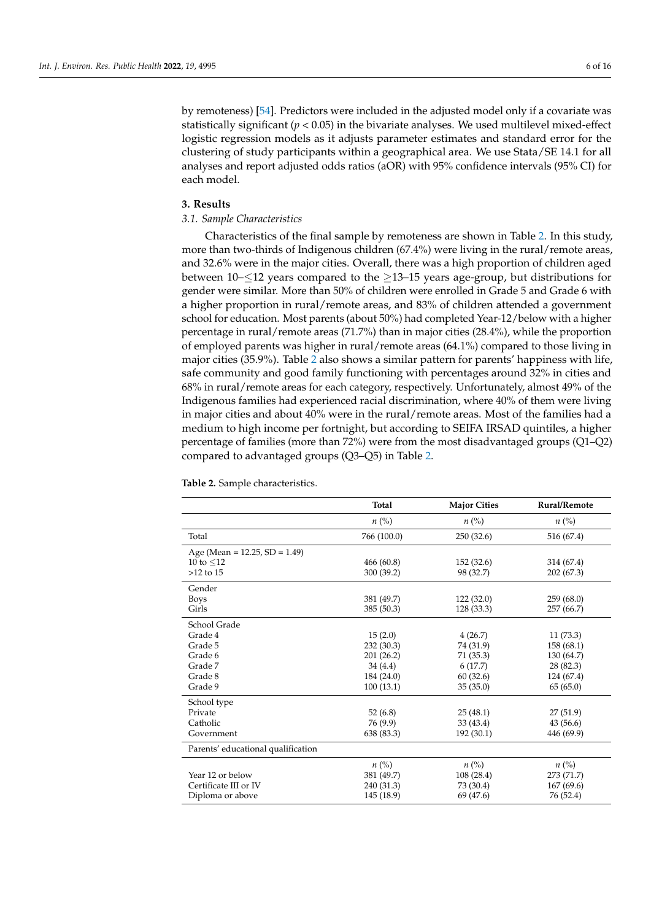by remoteness) [\[54\]](#page-15-9). Predictors were included in the adjusted model only if a covariate was statistically significant  $(p < 0.05)$  in the bivariate analyses. We used multilevel mixed-effect logistic regression models as it adjusts parameter estimates and standard error for the clustering of study participants within a geographical area. We use Stata/SE 14.1 for all analyses and report adjusted odds ratios (aOR) with 95% confidence intervals (95% CI) for each model.

#### **3. Results**

#### *3.1. Sample Characteristics*

Characteristics of the final sample by remoteness are shown in Table [2.](#page-7-0) In this study, more than two-thirds of Indigenous children (67.4%) were living in the rural/remote areas, and 32.6% were in the major cities. Overall, there was a high proportion of children aged between  $10$ – $\leq$ 12 years compared to the  $\geq$ 13–15 years age-group, but distributions for gender were similar. More than 50% of children were enrolled in Grade 5 and Grade 6 with a higher proportion in rural/remote areas, and 83% of children attended a government school for education. Most parents (about 50%) had completed Year-12/below with a higher percentage in rural/remote areas (71.7%) than in major cities (28.4%), while the proportion of employed parents was higher in rural/remote areas (64.1%) compared to those living in major cities (35.9%). Table [2](#page-7-0) also shows a similar pattern for parents' happiness with life, safe community and good family functioning with percentages around 32% in cities and 68% in rural/remote areas for each category, respectively. Unfortunately, almost 49% of the Indigenous families had experienced racial discrimination, where 40% of them were living in major cities and about 40% were in the rural/remote areas. Most of the families had a medium to high income per fortnight, but according to SEIFA IRSAD quintiles, a higher percentage of families (more than 72%) were from the most disadvantaged groups (Q1–Q2) compared to advantaged groups (Q3–Q5) in Table [2.](#page-7-0)

|                                     | Total              | <b>Major Cities</b> | Rural/Remote       |
|-------------------------------------|--------------------|---------------------|--------------------|
|                                     | $n\left(\%\right)$ | $n\left(\%\right)$  | $n\left(\%\right)$ |
| Total                               | 766 (100.0)        | 250(32.6)           | 516 (67.4)         |
| Age (Mean = $12.25$ , SD = $1.49$ ) |                    |                     |                    |
| 10 to $\leq$ 12                     | 466 (60.8)         | 152 (32.6)          | 314 (67.4)         |
| $>12$ to $15$                       | 300 (39.2)         | 98 (32.7)           | 202(67.3)          |
| Gender                              |                    |                     |                    |
| <b>Boys</b>                         | 381 (49.7)         | 122(32.0)           | 259(68.0)          |
| Girls                               | 385 (50.3)         | 128 (33.3)          | 257 (66.7)         |
| School Grade                        |                    |                     |                    |
| Grade 4                             | 15(2.0)            | 4(26.7)             | 11(73.3)           |
| Grade 5                             | 232 (30.3)         | 74 (31.9)           | 158(68.1)          |
| Grade 6                             | 201 (26.2)         | 71 (35.3)           | 130 (64.7)         |
| Grade 7                             | 34 (4.4)           | 6(17.7)             | 28(82.3)           |
| Grade 8                             | 184 (24.0)         | 60(32.6)            | 124 (67.4)         |
| Grade 9                             | 100(13.1)          | 35(35.0)            | 65(65.0)           |
| School type                         |                    |                     |                    |
| Private                             | 52(6.8)            | 25(48.1)            | 27(51.9)           |
| Catholic                            | 76 (9.9)           | 33 (43.4)           | 43(56.6)           |
| Government                          | 638 (83.3)         | 192 (30.1)          | 446 (69.9)         |
| Parents' educational qualification  |                    |                     |                    |
|                                     | $n\left(\%\right)$ | $n\ (\%)$           | $n\ (\%)$          |
| Year 12 or below                    | 381 (49.7)         | 108(28.4)           | 273 (71.7)         |
| Certificate III or IV               | 240 (31.3)         | 73 (30.4)           | 167(69.6)          |
| Diploma or above                    | 145 (18.9)         | 69 (47.6)           | 76 (52.4)          |

**Table 2.** Sample characteristics.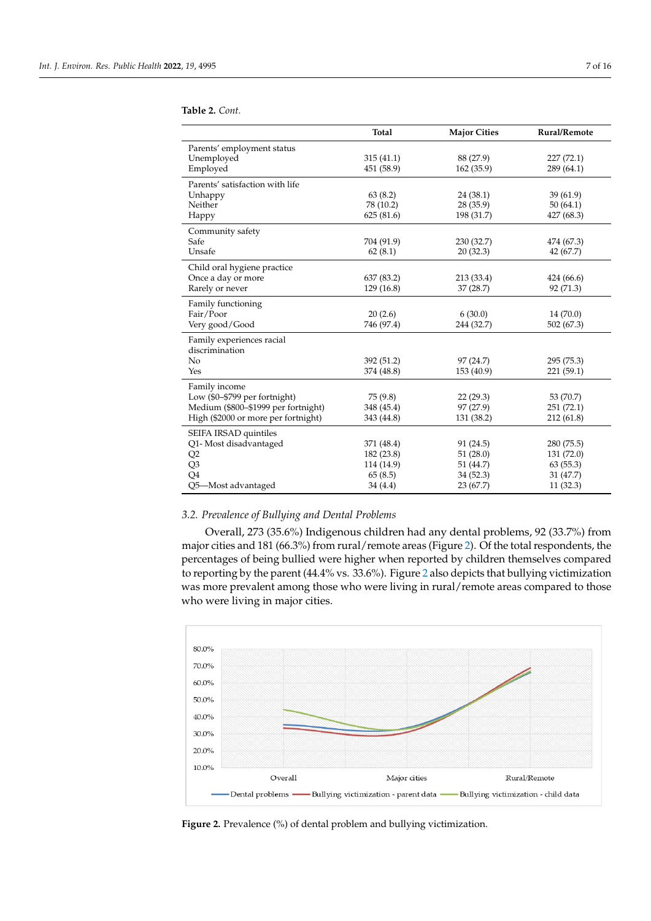|                                     | Total      | <b>Major Cities</b> | Rural/Remote |
|-------------------------------------|------------|---------------------|--------------|
| Parents' employment status          |            |                     |              |
| Unemployed                          | 315(41.1)  | 88 (27.9)           | 227 (72.1)   |
| Employed                            | 451 (58.9) | 162(35.9)           | 289 (64.1)   |
| Parents' satisfaction with life     |            |                     |              |
| Unhappy                             | 63(8.2)    | 24(38.1)            | 39(61.9)     |
| Neither                             | 78 (10.2)  | 28 (35.9)           | 50(64.1)     |
| Happy                               | 625(81.6)  | 198 (31.7)          | 427 (68.3)   |
| Community safety                    |            |                     |              |
| Safe                                | 704 (91.9) | 230 (32.7)          | 474 (67.3)   |
| Unsafe                              | 62(8.1)    | 20(32.3)            | 42 (67.7)    |
| Child oral hygiene practice         |            |                     |              |
| Once a day or more                  | 637 (83.2) | 213 (33.4)          | 424 (66.6)   |
| Rarely or never                     | 129 (16.8) | 37 (28.7)           | 92 (71.3)    |
| Family functioning                  |            |                     |              |
| Fair/Poor                           | 20(2.6)    | 6(30.0)             | 14 (70.0)    |
| Very good/Good                      | 746 (97.4) | 244 (32.7)          | 502 (67.3)   |
| Family experiences racial           |            |                     |              |
| discrimination                      |            |                     |              |
| No                                  | 392 (51.2) | 97 (24.7)           | 295 (75.3)   |
| Yes                                 | 374 (48.8) | 153 (40.9)          | 221 (59.1)   |
| Family income                       |            |                     |              |
| Low (\$0-\$799 per fortnight)       | 75(9.8)    | 22(29.3)            | 53 (70.7)    |
| Medium (\$800-\$1999 per fortnight) | 348 (45.4) | 97 (27.9)           | 251 (72.1)   |
| High (\$2000 or more per fortnight) | 343 (44.8) | 131 (38.2)          | 212 (61.8)   |
| SEIFA IRSAD quintiles               |            |                     |              |
| Q1- Most disadvantaged              | 371 (48.4) | 91 (24.5)           | 280 (75.5)   |
| Q <sub>2</sub>                      | 182 (23.8) | 51(28.0)            | 131(72.0)    |
| Q3                                  | 114 (14.9) | 51 (44.7)           | 63(55.3)     |
| Q <sub>4</sub>                      | 65(8.5)    | 34 (52.3)           | 31 (47.7)    |
| Q5-Most advantaged                  | 34 (4.4)   | 23 (67.7)           | 11(32.3)     |

#### <span id="page-7-0"></span>**Table 2.** *Cont.*

#### *3.2. Prevalence of Bullying and Dental Problems*

Overall, 273 (35.6%) Indigenous children had any dental problems, 92 (33.7%) from major cities and 181 (66.3%) from rural/remote areas (Figure [2\)](#page-7-1). Of the total respondents, the percentages of being bullied were higher when reported by children themselves compared to reporting by the parent (44.4% vs. 33.6%). Figure [2](#page-7-1) also depicts that bullying victimization was more prevalent among those who were living in rural/remote areas compared to those who were living in major cities.

<span id="page-7-1"></span>

**Figure 2.** Prevalence (%) of dental problem and bullying victimization. **Figure 2.** Prevalence (%) of dental problem and bullying victimization.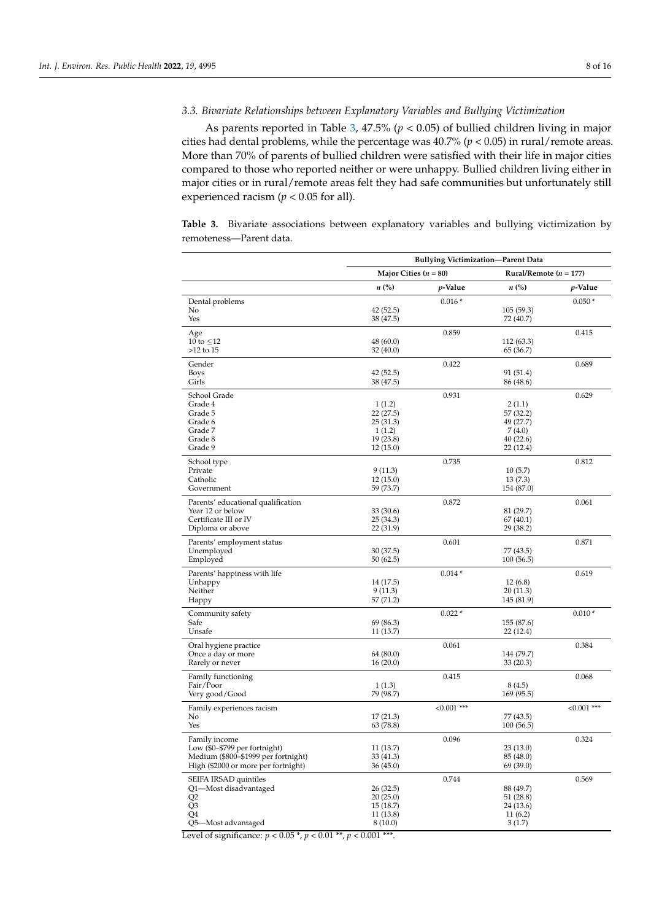#### *3.3. Bivariate Relationships between Explanatory Variables and Bullying Victimization*

As parents reported in Table [3,](#page-8-0) 47.5% (*p* < 0.05) of bullied children living in major cities had dental problems, while the percentage was 40.7% (*p* < 0.05) in rural/remote areas. More than 70% of parents of bullied children were satisfied with their life in major cities compared to those who reported neither or were unhappy. Bullied children living either in major cities or in rural/remote areas felt they had safe communities but unfortunately still experienced racism ( $p < 0.05$  for all).

<span id="page-8-0"></span>**Table 3.** Bivariate associations between explanatory variables and bullying victimization by remoteness—Parent data.

|                                                                        | <b>Bullying Victimization-Parent Data</b>             |                 |                         |                 |
|------------------------------------------------------------------------|-------------------------------------------------------|-----------------|-------------------------|-----------------|
|                                                                        | Major Cities $(n = 80)$<br>Rural/Remote ( $n = 177$ ) |                 |                         |                 |
|                                                                        | $n\ (\%)$                                             | <i>p</i> -Value | $n\ (\%)$               | <i>p</i> -Value |
| Dental problems                                                        |                                                       | $0.016*$        |                         | $0.050*$        |
| No                                                                     | 42 (52.5)                                             |                 | 105(59.3)               |                 |
| Yes                                                                    | 38 (47.5)                                             |                 | 72 (40.7)               |                 |
| Age<br>10 to $\leq$ 12                                                 | 48 (60.0)                                             | 0.859           | 112 (63.3)              | 0.415           |
| $>12$ to $15$                                                          | 32 (40.0)                                             |                 | 65 (36.7)               |                 |
| Gender                                                                 |                                                       | 0.422           |                         | 0.689           |
| <b>Boys</b>                                                            | 42 (52.5)                                             |                 | 91 (51.4)               |                 |
| Girls                                                                  | 38 (47.5)                                             |                 | 86 (48.6)               |                 |
| School Grade                                                           |                                                       | 0.931           |                         | 0.629           |
| Grade 4<br>Grade 5                                                     | 1(1.2)<br>22 (27.5)                                   |                 | 2(1.1)<br>57 (32.2)     |                 |
| Grade 6                                                                | 25(31.3)                                              |                 | 49 (27.7)               |                 |
| Grade 7                                                                | 1(1.2)                                                |                 | 7(4.0)                  |                 |
| Grade 8                                                                | 19(23.8)                                              |                 | 40(22.6)                |                 |
| Grade 9                                                                | 12(15.0)                                              |                 | 22(12.4)                |                 |
| School type                                                            |                                                       | 0.735           |                         | 0.812           |
| Private                                                                | 9(11.3)                                               |                 | 10(5.7)                 |                 |
| Catholic<br>Government                                                 | 12(15.0)<br>59 (73.7)                                 |                 | 13(7.3)<br>154 (87.0)   |                 |
|                                                                        |                                                       |                 |                         |                 |
| Parents' educational qualification<br>Year 12 or below                 | 33 (30.6)                                             | 0.872           | 81 (29.7)               | 0.061           |
| Certificate III or IV                                                  | 25(34.3)                                              |                 | 67(40.1)                |                 |
| Diploma or above                                                       | 22(31.9)                                              |                 | 29 (38.2)               |                 |
| Parents' employment status                                             |                                                       | 0.601           |                         | 0.871           |
| Unemployed                                                             | 30 (37.5)                                             |                 | 77 (43.5)               |                 |
| Employed                                                               | 50 (62.5)                                             |                 | 100(56.5)               |                 |
| Parents' happiness with life                                           |                                                       | $0.014*$        |                         | 0.619           |
| Unhappy                                                                | 14 (17.5)                                             |                 | 12(6.8)                 |                 |
| Neither                                                                | 9(11.3)                                               |                 | 20(11.3)                |                 |
| Happy                                                                  | 57 (71.2)                                             |                 | 145 (81.9)              |                 |
| Community safety<br>Safe                                               | 69 (86.3)                                             | $0.022*$        |                         | $0.010*$        |
| Unsafe                                                                 | 11 (13.7)                                             |                 | 155 (87.6)<br>22 (12.4) |                 |
|                                                                        |                                                       | 0.061           |                         | 0.384           |
| Oral hygiene practice<br>Once a day or more                            | 64 (80.0)                                             |                 | 144 (79.7)              |                 |
| Rarely or never                                                        | 16(20.0)                                              |                 | 33(20.3)                |                 |
| Family functioning                                                     |                                                       | 0.415           |                         | 0.068           |
| Fair/Poor                                                              | 1(1.3)                                                |                 | 8(4.5)                  |                 |
| Very good/Good                                                         | 79 (98.7)                                             |                 | 169 (95.5)              |                 |
| Family experiences racism                                              |                                                       | $< 0.001$ ***   |                         | $< 0.001$ ***   |
| No                                                                     | 17(21.3)                                              |                 | 77 (43.5)               |                 |
| Yes                                                                    | 63 (78.8)                                             |                 | 100(56.5)               |                 |
| Family income                                                          |                                                       | 0.096           |                         | 0.324           |
| Low $(90 - $799$ per fortnight)<br>Medium (\$800-\$1999 per fortnight) | 11 (13.7)<br>33 (41.3)                                |                 | 23(13.0)<br>85 (48.0)   |                 |
| High (\$2000 or more per fortnight)                                    | 36(45.0)                                              |                 | 69 (39.0)               |                 |
| SEIFA IRSAD quintiles                                                  |                                                       | 0.744           |                         | 0.569           |
| Q1-Most disadvantaged                                                  | 26 (32.5)                                             |                 | 88 (49.7)               |                 |
| Q <sub>2</sub>                                                         | 20(25.0)                                              |                 | 51(28.8)                |                 |
| Q <sub>3</sub>                                                         | 15 (18.7)                                             |                 | 24 (13.6)               |                 |
| Q4                                                                     | 11 (13.8)                                             |                 | 11(6.2)                 |                 |
| Q5-Most advantaged                                                     | 8(10.0)                                               |                 | 3(1.7)                  |                 |

Level of significance:  $p < 0.05$ <sup>\*</sup>,  $p < 0.01$ <sup>\*\*</sup>,  $p < 0.001$ <sup>\*\*\*</sup>.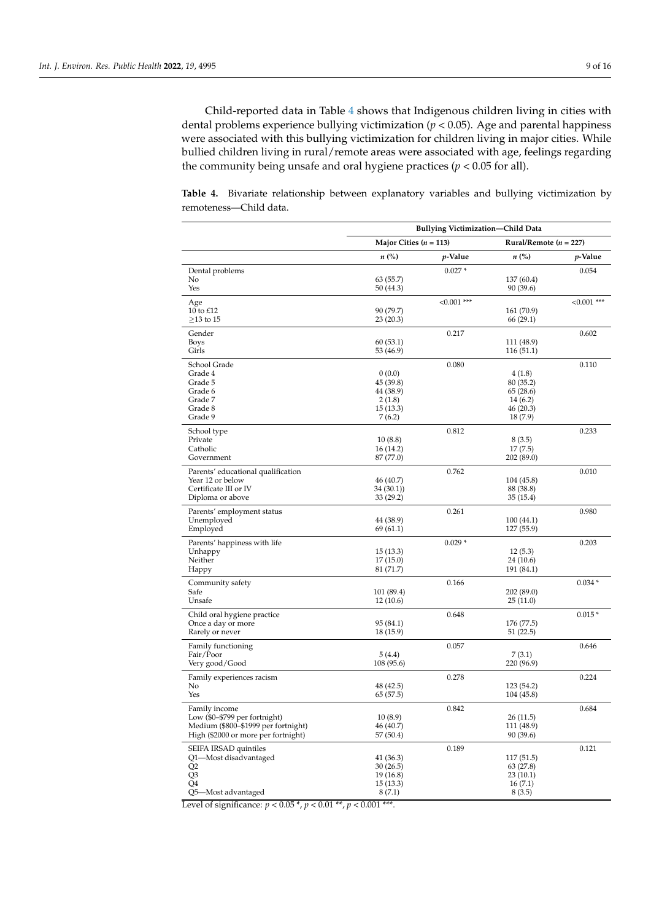Child-reported data in Table [4](#page-9-0) shows that Indigenous children living in cities with dental problems experience bullying victimization ( $p < 0.05$ ). Age and parental happiness were associated with this bullying victimization for children living in major cities. While bullied children living in rural/remote areas were associated with age, feelings regarding the community being unsafe and oral hygiene practices ( $p < 0.05$  for all).

<span id="page-9-0"></span>**Table 4.** Bivariate relationship between explanatory variables and bullying victimization by remoteness—Child data.

|                                           | <b>Bullying Victimization-Child Data</b> |                 |                            |                 |
|-------------------------------------------|------------------------------------------|-----------------|----------------------------|-----------------|
|                                           | Major Cities $(n = 113)$                 |                 | Rural/Remote ( $n = 227$ ) |                 |
|                                           | $n\ (\%)$                                | <i>p</i> -Value | $n\ (\%)$                  | <i>p</i> -Value |
| Dental problems                           |                                          | $0.027*$        |                            | 0.054           |
| No                                        | 63(55.7)                                 |                 | 137 (60.4)                 |                 |
| Yes                                       | 50(44.3)                                 |                 | 90 (39.6)                  |                 |
| Age                                       |                                          | $< 0.001$ ***   |                            | $< 0.001$ ***   |
| 10 to £12<br>$\geq$ 13 to 15              | 90 (79.7)<br>23(20.3)                    |                 | 161 (70.9)<br>66 (29.1)    |                 |
| Gender                                    |                                          | 0.217           |                            | 0.602           |
| <b>Boys</b>                               | 60(53.1)                                 |                 | 111 (48.9)                 |                 |
| Girls                                     | 53 (46.9)                                |                 | 116(51.1)                  |                 |
| School Grade                              |                                          | 0.080           |                            | 0.110           |
| Grade 4                                   | 0(0.0)                                   |                 | 4(1.8)                     |                 |
| Grade 5                                   | 45 (39.8)                                |                 | 80 (35.2)                  |                 |
| Grade 6<br>Grade 7                        | 44 (38.9)<br>2(1.8)                      |                 | 65 (28.6)<br>14(6.2)       |                 |
| Grade 8                                   | 15(13.3)                                 |                 | 46 (20.3)                  |                 |
| Grade 9                                   | 7(6.2)                                   |                 | 18(7.9)                    |                 |
| School type                               |                                          | 0.812           |                            | 0.233           |
| Private                                   | 10(8.8)                                  |                 | 8(3.5)                     |                 |
| Catholic                                  | 16(14.2)                                 |                 | 17(7.5)                    |                 |
| Government                                | 87 (77.0)                                |                 | 202 (89.0)                 |                 |
| Parents' educational qualification        |                                          | 0.762           |                            | 0.010           |
| Year 12 or below                          | 46 (40.7)                                |                 | 104 (45.8)                 |                 |
| Certificate III or IV<br>Diploma or above | 34(30.1)<br>33(29.2)                     |                 | 88 (38.8)<br>35 (15.4)     |                 |
|                                           |                                          |                 |                            |                 |
| Parents' employment status<br>Unemployed  | 44 (38.9)                                | 0.261           | 100(44.1)                  | 0.980           |
| Employed                                  | 69(61.1)                                 |                 | 127 (55.9)                 |                 |
| Parents' happiness with life              |                                          | $0.029*$        |                            | 0.203           |
| Unhappy                                   | 15(13.3)                                 |                 | 12(5.3)                    |                 |
| Neither                                   | 17(15.0)                                 |                 | 24 (10.6)                  |                 |
| Happy                                     | 81 (71.7)                                |                 | 191 (84.1)                 |                 |
| Community safety                          |                                          | 0.166           |                            | $0.034*$        |
| Safe                                      | 101 (89.4)                               |                 | 202(89.0)                  |                 |
| Unsafe                                    | 12(10.6)                                 |                 | 25(11.0)                   |                 |
| Child oral hygiene practice               |                                          | 0.648           |                            | $0.015*$        |
| Once a day or more<br>Rarely or never     | 95 (84.1)<br>18 (15.9)                   |                 | 176 (77.5)<br>51 (22.5)    |                 |
|                                           |                                          |                 |                            |                 |
| Family functioning<br>Fair/Poor           | 5(4.4)                                   | 0.057           | 7(3.1)                     | 0.646           |
| Very good/Good                            | 108 (95.6)                               |                 | 220 (96.9)                 |                 |
| Family experiences racism                 |                                          | 0.278           |                            | 0.224           |
| No                                        | 48 (42.5)                                |                 | 123 (54.2)                 |                 |
| Yes                                       | 65 (57.5)                                |                 | 104 (45.8)                 |                 |
| Family income                             |                                          | 0.842           |                            | 0.684           |
| Low $($0-$799$ per fortnight)             | 10(8.9)                                  |                 | 26(11.5)                   |                 |
| Medium (\$800-\$1999 per fortnight)       | 46 (40.7)                                |                 | 111 (48.9)                 |                 |
| High (\$2000 or more per fortnight)       | 57 (50.4)                                |                 | 90 (39.6)                  |                 |
| SEIFA IRSAD quintiles                     |                                          | 0.189           |                            | 0.121           |
| Q1-Most disadvantaged<br>Q <sub>2</sub>   | 41(36.3)<br>30(26.5)                     |                 | 117 (51.5)<br>63(27.8)     |                 |
| Q <sub>3</sub>                            | 19 (16.8)                                |                 | 23 (10.1)                  |                 |
| Q4                                        | 15(13.3)                                 |                 | 16(7.1)                    |                 |
| Q5-Most advantaged                        | 8(7.1)                                   |                 | 8(3.5)                     |                 |

Level of significance:  $p < 0.05$ <sup>\*</sup>,  $p < 0.01$ <sup>\*\*</sup>,  $p < 0.001$ <sup>\*\*\*</sup>.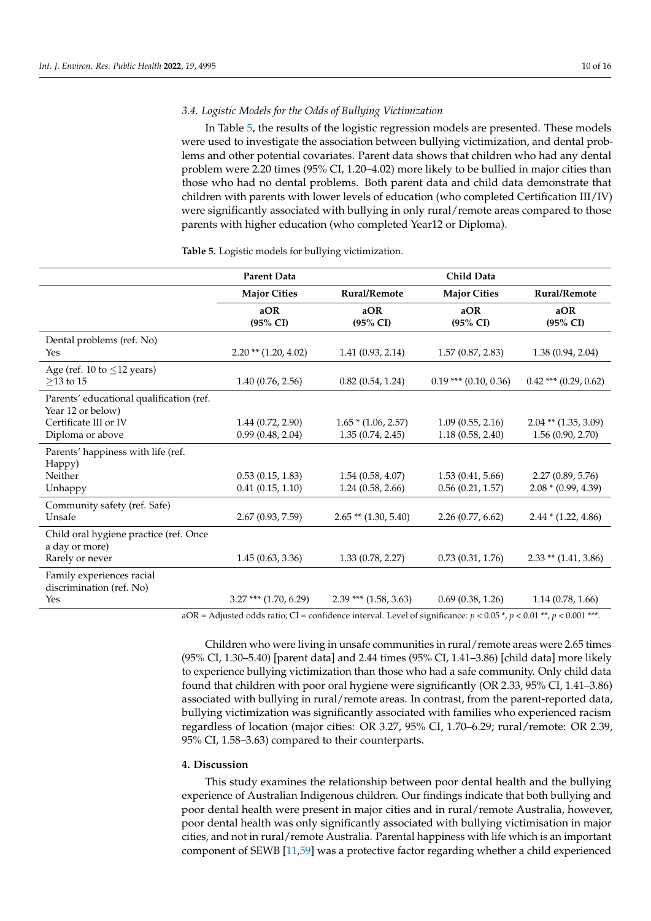#### *3.4. Logistic Models for the Odds of Bullying Victimization*

In Table [5,](#page-10-0) the results of the logistic regression models are presented. These models were used to investigate the association between bullying victimization, and dental problems and other potential covariates. Parent data shows that children who had any dental problem were 2.20 times (95% CI, 1.20–4.02) more likely to be bullied in major cities than those who had no dental problems. Both parent data and child data demonstrate that children with parents with lower levels of education (who completed Certification III/IV) were significantly associated with bullying in only rural/remote areas compared to those parents with higher education (who completed Year12 or Diploma).

|                                                                                                            | <b>Parent Data</b>                   |                                           | Child Data                           |                                              |
|------------------------------------------------------------------------------------------------------------|--------------------------------------|-------------------------------------------|--------------------------------------|----------------------------------------------|
|                                                                                                            | <b>Major Cities</b>                  | Rural/Remote                              | <b>Major Cities</b>                  | Rural/Remote                                 |
|                                                                                                            | aOR<br>$(95\% \text{ CI})$           | aOR<br>(95% CI)                           | aOR<br>$(95\% \text{ CI})$           | aOR<br>$(95\% \text{ CI})$                   |
| Dental problems (ref. No)<br><b>Yes</b>                                                                    | $2.20$ ** $(1.20, 4.02)$             | 1.41(0.93, 2.14)                          | 1.57(0.87, 2.83)                     | 1.38(0.94, 2.04)                             |
| Age (ref. 10 to $\leq$ 12 years)<br>$>13$ to 15                                                            | 1.40(0.76, 2.56)                     | 0.82(0.54, 1.24)                          | $0.19$ *** $(0.10, 0.36)$            | $0.42$ *** (0.29, 0.62)                      |
| Parents' educational qualification (ref.<br>Year 12 or below)<br>Certificate III or IV<br>Diploma or above | 1.44(0.72, 2.90)<br>0.99(0.48, 2.04) | $1.65 * (1.06, 2.57)$<br>1.35(0.74, 2.45) | 1.09(0.55, 2.16)<br>1.18(0.58, 2.40) | $2.04$ ** $(1.35, 3.09)$<br>1.56(0.90, 2.70) |
| Parents' happiness with life (ref.<br>Happy)<br>Neither<br>Unhappy                                         | 0.53(0.15, 1.83)<br>0.41(0.15, 1.10) | 1.54(0.58, 4.07)<br>1.24(0.58, 2.66)      | 1.53(0.41, 5.66)<br>0.56(0.21, 1.57) | 2.27(0.89, 5.76)<br>$2.08 * (0.99, 4.39)$    |
| Community safety (ref. Safe)<br>Unsafe                                                                     | 2.67(0.93, 7.59)                     | $2.65$ ** (1.30, 5.40)                    | 2.26(0.77, 6.62)                     | $2.44 * (1.22, 4.86)$                        |
| Child oral hygiene practice (ref. Once<br>a day or more)<br>Rarely or never                                | 1.45(0.63, 3.36)                     | 1.33(0.78, 2.27)                          | 0.73(0.31, 1.76)                     | $2.33$ ** $(1.41, 3.86)$                     |
| Family experiences racial<br>discrimination (ref. No)<br>Yes                                               | $3.27$ *** (1.70, 6.29)              | $2.39$ *** $(1.58, 3.63)$                 | 0.69(0.38, 1.26)                     | 1.14(0.78, 1.66)                             |

#### <span id="page-10-0"></span>**Table 5.** Logistic models for bullying victimization.

aOR = Adjusted odds ratio; CI = confidence interval. Level of significance:  $p < 0.05$  \*,  $p < 0.01$  \*\*,  $p < 0.001$  \*\*\*.

Children who were living in unsafe communities in rural/remote areas were 2.65 times (95% CI, 1.30–5.40) [parent data] and 2.44 times (95% CI, 1.41–3.86) [child data] more likely to experience bullying victimization than those who had a safe community. Only child data found that children with poor oral hygiene were significantly (OR 2.33, 95% CI, 1.41–3.86) associated with bullying in rural/remote areas. In contrast, from the parent-reported data, bullying victimization was significantly associated with families who experienced racism regardless of location (major cities: OR 3.27, 95% CI, 1.70–6.29; rural/remote: OR 2.39, 95% CI, 1.58–3.63) compared to their counterparts.

#### **4. Discussion**

This study examines the relationship between poor dental health and the bullying experience of Australian Indigenous children. Our findings indicate that both bullying and poor dental health were present in major cities and in rural/remote Australia, however, poor dental health was only significantly associated with bullying victimisation in major cities, and not in rural/remote Australia. Parental happiness with life which is an important component of SEWB [\[11](#page-13-7)[,59\]](#page-15-13) was a protective factor regarding whether a child experienced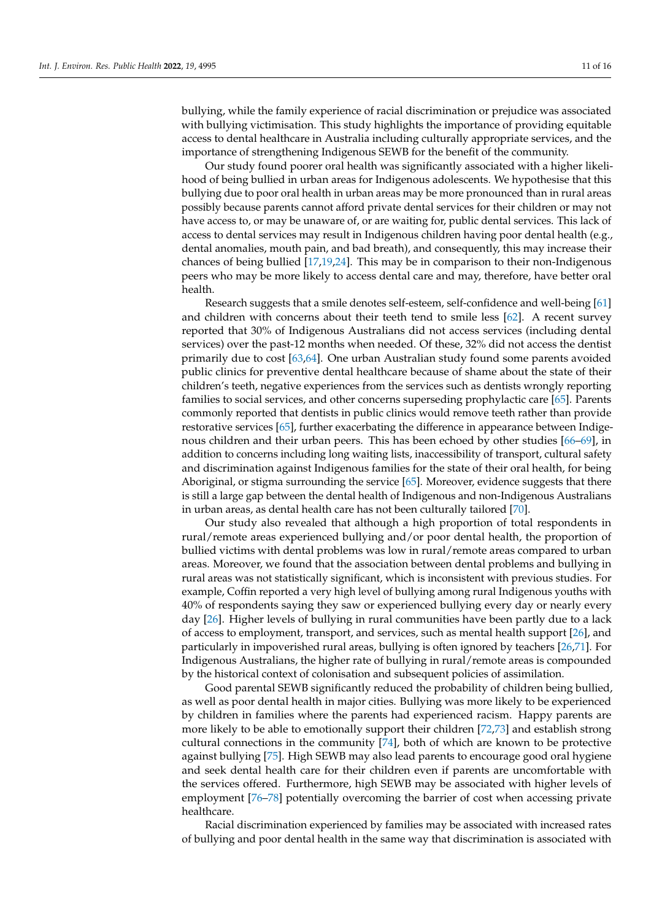bullying, while the family experience of racial discrimination or prejudice was associated with bullying victimisation. This study highlights the importance of providing equitable access to dental healthcare in Australia including culturally appropriate services, and the importance of strengthening Indigenous SEWB for the benefit of the community.

Our study found poorer oral health was significantly associated with a higher likelihood of being bullied in urban areas for Indigenous adolescents. We hypothesise that this bullying due to poor oral health in urban areas may be more pronounced than in rural areas possibly because parents cannot afford private dental services for their children or may not have access to, or may be unaware of, or are waiting for, public dental services. This lack of access to dental services may result in Indigenous children having poor dental health (e.g., dental anomalies, mouth pain, and bad breath), and consequently, this may increase their chances of being bullied [\[17,](#page-14-4)[19,](#page-14-3)[24\]](#page-14-6). This may be in comparison to their non-Indigenous peers who may be more likely to access dental care and may, therefore, have better oral health.

Research suggests that a smile denotes self-esteem, self-confidence and well-being [\[61\]](#page-15-15) and children with concerns about their teeth tend to smile less [\[62\]](#page-15-16). A recent survey reported that 30% of Indigenous Australians did not access services (including dental services) over the past-12 months when needed. Of these, 32% did not access the dentist primarily due to cost [\[63,](#page-15-17)[64\]](#page-15-18). One urban Australian study found some parents avoided public clinics for preventive dental healthcare because of shame about the state of their children's teeth, negative experiences from the services such as dentists wrongly reporting families to social services, and other concerns superseding prophylactic care [\[65\]](#page-15-19). Parents commonly reported that dentists in public clinics would remove teeth rather than provide restorative services [\[65\]](#page-15-19), further exacerbating the difference in appearance between Indigenous children and their urban peers. This has been echoed by other studies [\[66](#page-15-20)[–69\]](#page-16-0), in addition to concerns including long waiting lists, inaccessibility of transport, cultural safety and discrimination against Indigenous families for the state of their oral health, for being Aboriginal, or stigma surrounding the service [\[65\]](#page-15-19). Moreover, evidence suggests that there is still a large gap between the dental health of Indigenous and non-Indigenous Australians in urban areas, as dental health care has not been culturally tailored [\[70\]](#page-16-1).

Our study also revealed that although a high proportion of total respondents in rural/remote areas experienced bullying and/or poor dental health, the proportion of bullied victims with dental problems was low in rural/remote areas compared to urban areas. Moreover, we found that the association between dental problems and bullying in rural areas was not statistically significant, which is inconsistent with previous studies. For example, Coffin reported a very high level of bullying among rural Indigenous youths with 40% of respondents saying they saw or experienced bullying every day or nearly every day [\[26\]](#page-14-8). Higher levels of bullying in rural communities have been partly due to a lack of access to employment, transport, and services, such as mental health support [\[26\]](#page-14-8), and particularly in impoverished rural areas, bullying is often ignored by teachers [\[26,](#page-14-8)[71\]](#page-16-2). For Indigenous Australians, the higher rate of bullying in rural/remote areas is compounded by the historical context of colonisation and subsequent policies of assimilation.

Good parental SEWB significantly reduced the probability of children being bullied, as well as poor dental health in major cities. Bullying was more likely to be experienced by children in families where the parents had experienced racism. Happy parents are more likely to be able to emotionally support their children [\[72,](#page-16-3)[73\]](#page-16-4) and establish strong cultural connections in the community [\[74\]](#page-16-5), both of which are known to be protective against bullying [\[75\]](#page-16-6). High SEWB may also lead parents to encourage good oral hygiene and seek dental health care for their children even if parents are uncomfortable with the services offered. Furthermore, high SEWB may be associated with higher levels of employment [\[76](#page-16-7)[–78\]](#page-16-8) potentially overcoming the barrier of cost when accessing private healthcare.

Racial discrimination experienced by families may be associated with increased rates of bullying and poor dental health in the same way that discrimination is associated with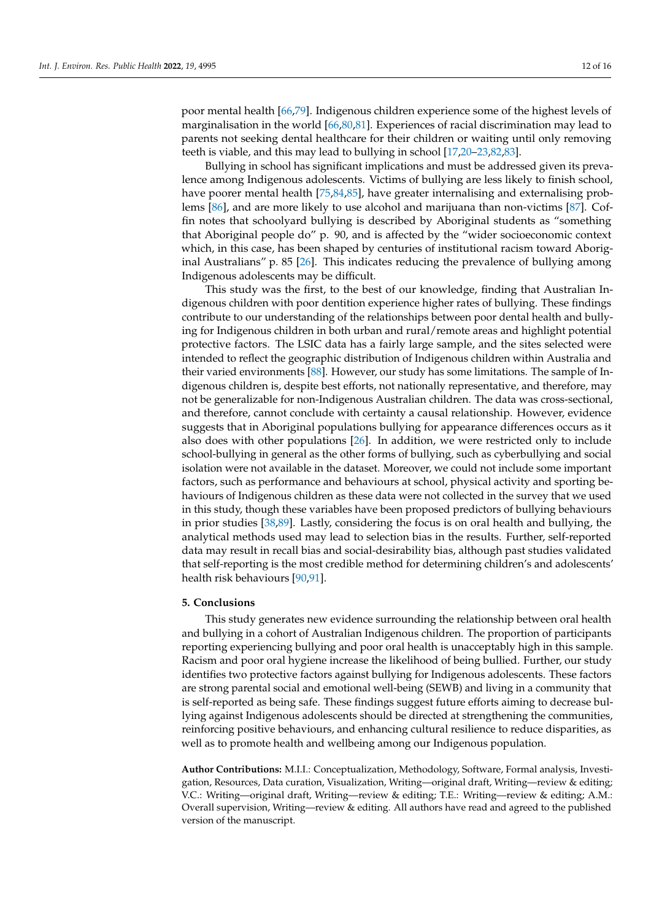poor mental health [\[66](#page-15-20)[,79\]](#page-16-9). Indigenous children experience some of the highest levels of marginalisation in the world [\[66,](#page-15-20)[80,](#page-16-10)[81\]](#page-16-11). Experiences of racial discrimination may lead to parents not seeking dental healthcare for their children or waiting until only removing teeth is viable, and this may lead to bullying in school [\[17](#page-14-4)[,20](#page-14-5)[–23](#page-14-26)[,82](#page-16-12)[,83\]](#page-16-13).

Bullying in school has significant implications and must be addressed given its prevalence among Indigenous adolescents. Victims of bullying are less likely to finish school, have poorer mental health [\[75](#page-16-6)[,84](#page-16-14)[,85\]](#page-16-15), have greater internalising and externalising problems [\[86\]](#page-16-16), and are more likely to use alcohol and marijuana than non-victims [\[87\]](#page-16-17). Coffin notes that schoolyard bullying is described by Aboriginal students as "something that Aboriginal people do" p. 90, and is affected by the "wider socioeconomic context which, in this case, has been shaped by centuries of institutional racism toward Aboriginal Australians" p. 85 [\[26\]](#page-14-8). This indicates reducing the prevalence of bullying among Indigenous adolescents may be difficult.

This study was the first, to the best of our knowledge, finding that Australian Indigenous children with poor dentition experience higher rates of bullying. These findings contribute to our understanding of the relationships between poor dental health and bullying for Indigenous children in both urban and rural/remote areas and highlight potential protective factors. The LSIC data has a fairly large sample, and the sites selected were intended to reflect the geographic distribution of Indigenous children within Australia and their varied environments [\[88\]](#page-16-18). However, our study has some limitations. The sample of Indigenous children is, despite best efforts, not nationally representative, and therefore, may not be generalizable for non-Indigenous Australian children. The data was cross-sectional, and therefore, cannot conclude with certainty a causal relationship. However, evidence suggests that in Aboriginal populations bullying for appearance differences occurs as it also does with other populations [\[26\]](#page-14-8). In addition, we were restricted only to include school-bullying in general as the other forms of bullying, such as cyberbullying and social isolation were not available in the dataset. Moreover, we could not include some important factors, such as performance and behaviours at school, physical activity and sporting behaviours of Indigenous children as these data were not collected in the survey that we used in this study, though these variables have been proposed predictors of bullying behaviours in prior studies [\[38](#page-14-20)[,89\]](#page-16-19). Lastly, considering the focus is on oral health and bullying, the analytical methods used may lead to selection bias in the results. Further, self-reported data may result in recall bias and social-desirability bias, although past studies validated that self-reporting is the most credible method for determining children's and adolescents' health risk behaviours [\[90](#page-16-20)[,91\]](#page-16-21).

#### **5. Conclusions**

This study generates new evidence surrounding the relationship between oral health and bullying in a cohort of Australian Indigenous children. The proportion of participants reporting experiencing bullying and poor oral health is unacceptably high in this sample. Racism and poor oral hygiene increase the likelihood of being bullied. Further, our study identifies two protective factors against bullying for Indigenous adolescents. These factors are strong parental social and emotional well-being (SEWB) and living in a community that is self-reported as being safe. These findings suggest future efforts aiming to decrease bullying against Indigenous adolescents should be directed at strengthening the communities, reinforcing positive behaviours, and enhancing cultural resilience to reduce disparities, as well as to promote health and wellbeing among our Indigenous population.

**Author Contributions:** M.I.I.: Conceptualization, Methodology, Software, Formal analysis, Investigation, Resources, Data curation, Visualization, Writing—original draft, Writing—review & editing; V.C.: Writing—original draft, Writing—review & editing; T.E.: Writing—review & editing; A.M.: Overall supervision, Writing—review & editing. All authors have read and agreed to the published version of the manuscript.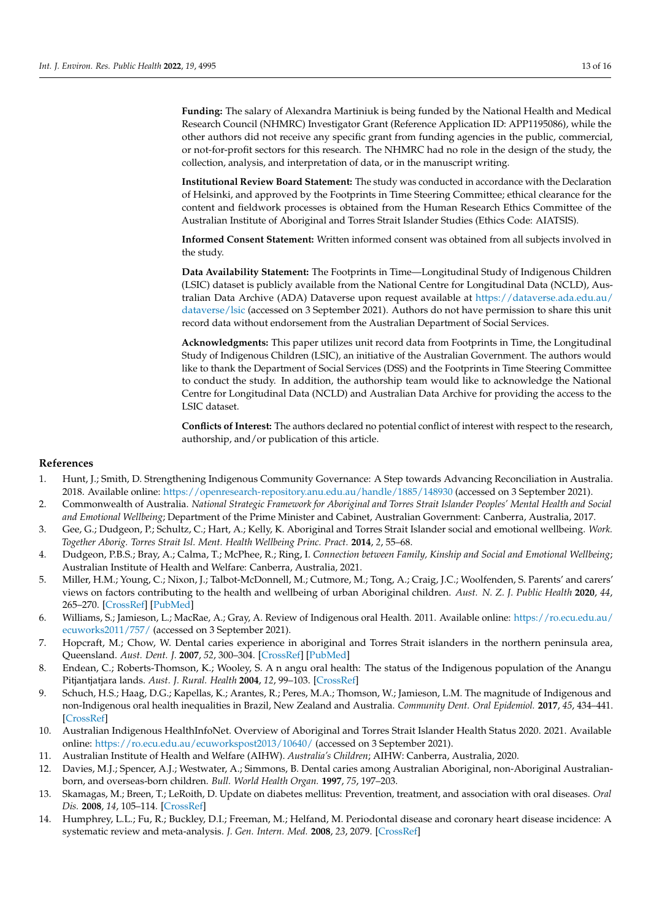**Funding:** The salary of Alexandra Martiniuk is being funded by the National Health and Medical Research Council (NHMRC) Investigator Grant (Reference Application ID: APP1195086), while the other authors did not receive any specific grant from funding agencies in the public, commercial, or not-for-profit sectors for this research. The NHMRC had no role in the design of the study, the collection, analysis, and interpretation of data, or in the manuscript writing.

**Institutional Review Board Statement:** The study was conducted in accordance with the Declaration of Helsinki, and approved by the Footprints in Time Steering Committee; ethical clearance for the content and fieldwork processes is obtained from the Human Research Ethics Committee of the Australian Institute of Aboriginal and Torres Strait Islander Studies (Ethics Code: AIATSIS).

**Informed Consent Statement:** Written informed consent was obtained from all subjects involved in the study.

**Data Availability Statement:** The Footprints in Time—Longitudinal Study of Indigenous Children (LSIC) dataset is publicly available from the National Centre for Longitudinal Data (NCLD), Australian Data Archive (ADA) Dataverse upon request available at [https://dataverse.ada.edu.au/](https://dataverse.ada.edu.au/dataverse/lsic) [dataverse/lsic](https://dataverse.ada.edu.au/dataverse/lsic) (accessed on 3 September 2021). Authors do not have permission to share this unit record data without endorsement from the Australian Department of Social Services.

**Acknowledgments:** This paper utilizes unit record data from Footprints in Time, the Longitudinal Study of Indigenous Children (LSIC), an initiative of the Australian Government. The authors would like to thank the Department of Social Services (DSS) and the Footprints in Time Steering Committee to conduct the study. In addition, the authorship team would like to acknowledge the National Centre for Longitudinal Data (NCLD) and Australian Data Archive for providing the access to the LSIC dataset.

**Conflicts of Interest:** The authors declared no potential conflict of interest with respect to the research, authorship, and/or publication of this article.

#### **References**

- <span id="page-13-0"></span>1. Hunt, J.; Smith, D. Strengthening Indigenous Community Governance: A Step towards Advancing Reconciliation in Australia. 2018. Available online: <https://openresearch-repository.anu.edu.au/handle/1885/148930> (accessed on 3 September 2021).
- <span id="page-13-1"></span>2. Commonwealth of Australia. *National Strategic Framework for Aboriginal and Torres Strait Islander Peoples' Mental Health and Social and Emotional Wellbeing*; Department of the Prime Minister and Cabinet, Australian Government: Canberra, Australia, 2017.
- <span id="page-13-2"></span>3. Gee, G.; Dudgeon, P.; Schultz, C.; Hart, A.; Kelly, K. Aboriginal and Torres Strait Islander social and emotional wellbeing. *Work. Together Aborig. Torres Strait Isl. Ment. Health Wellbeing Princ. Pract.* **2014**, *2*, 55–68.
- <span id="page-13-3"></span>4. Dudgeon, P.B.S.; Bray, A.; Calma, T.; McPhee, R.; Ring, I. *Connection between Family, Kinship and Social and Emotional Wellbeing*; Australian Institute of Health and Welfare: Canberra, Australia, 2021.
- <span id="page-13-4"></span>5. Miller, H.M.; Young, C.; Nixon, J.; Talbot-McDonnell, M.; Cutmore, M.; Tong, A.; Craig, J.C.; Woolfenden, S. Parents' and carers' views on factors contributing to the health and wellbeing of urban Aboriginal children. *Aust. N. Z. J. Public Health* **2020**, *44*, 265–270. [\[CrossRef\]](http://doi.org/10.1111/1753-6405.12992) [\[PubMed\]](http://www.ncbi.nlm.nih.gov/pubmed/32510750)
- <span id="page-13-5"></span>6. Williams, S.; Jamieson, L.; MacRae, A.; Gray, A. Review of Indigenous oral Health. 2011. Available online: [https://ro.ecu.edu.au/](https://ro.ecu.edu.au/ecuworks2011/757/) [ecuworks2011/757/](https://ro.ecu.edu.au/ecuworks2011/757/) (accessed on 3 September 2021).
- 7. Hopcraft, M.; Chow, W. Dental caries experience in aboriginal and Torres Strait islanders in the northern peninsula area, Queensland. *Aust. Dent. J.* **2007**, *52*, 300–304. [\[CrossRef\]](http://doi.org/10.1111/j.1834-7819.2007.tb00506.x) [\[PubMed\]](http://www.ncbi.nlm.nih.gov/pubmed/18265686)
- 8. Endean, C.; Roberts-Thomson, K.; Wooley, S. A n angu oral health: The status of the Indigenous population of the Anangu Pitjantjatjara lands. *Aust. J. Rural. Health* **2004**, *12*, 99–103. [\[CrossRef\]](http://doi.org/10.1111/j.1440-1854.2004.00566.x)
- 9. Schuch, H.S.; Haag, D.G.; Kapellas, K.; Arantes, R.; Peres, M.A.; Thomson, W.; Jamieson, L.M. The magnitude of Indigenous and non-Indigenous oral health inequalities in Brazil, New Zealand and Australia. *Community Dent. Oral Epidemiol.* **2017**, *45*, 434–441. [\[CrossRef\]](http://doi.org/10.1111/cdoe.12307)
- <span id="page-13-6"></span>10. Australian Indigenous HealthInfoNet. Overview of Aboriginal and Torres Strait Islander Health Status 2020. 2021. Available online: <https://ro.ecu.edu.au/ecuworkspost2013/10640/> (accessed on 3 September 2021).
- <span id="page-13-7"></span>11. Australian Institute of Health and Welfare (AIHW). *Australia's Children*; AIHW: Canberra, Australia, 2020.
- <span id="page-13-8"></span>12. Davies, M.J.; Spencer, A.J.; Westwater, A.; Simmons, B. Dental caries among Australian Aboriginal, non-Aboriginal Australianborn, and overseas-born children. *Bull. World Health Organ.* **1997**, *75*, 197–203.
- <span id="page-13-9"></span>13. Skamagas, M.; Breen, T.; LeRoith, D. Update on diabetes mellitus: Prevention, treatment, and association with oral diseases. *Oral Dis.* **2008**, *14*, 105–114. [\[CrossRef\]](http://doi.org/10.1111/j.1601-0825.2007.01425.x)
- 14. Humphrey, L.L.; Fu, R.; Buckley, D.I.; Freeman, M.; Helfand, M. Periodontal disease and coronary heart disease incidence: A systematic review and meta-analysis. *J. Gen. Intern. Med.* **2008**, *23*, 2079. [\[CrossRef\]](http://doi.org/10.1007/s11606-008-0787-6)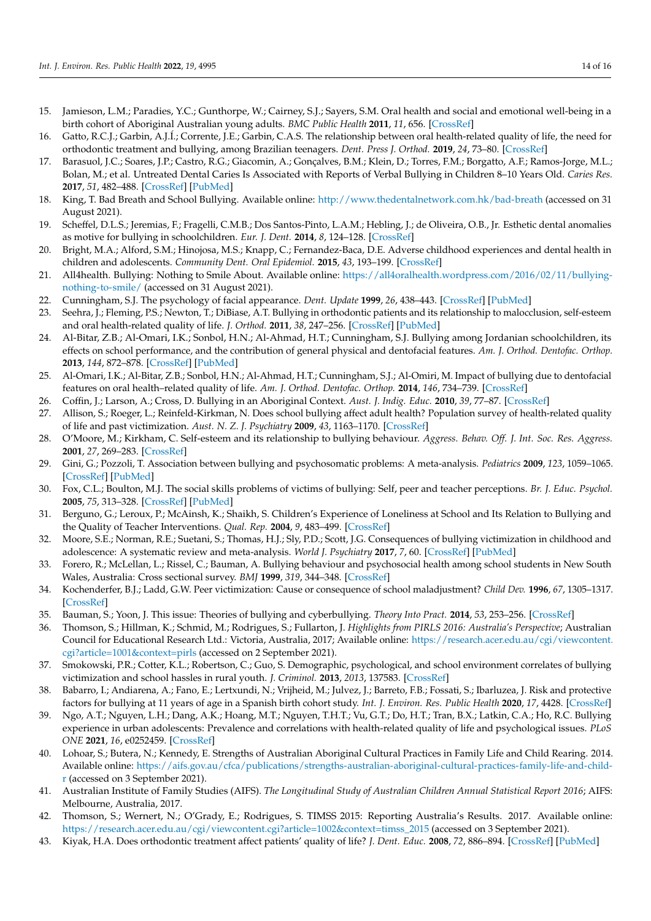- <span id="page-14-0"></span>15. Jamieson, L.M.; Paradies, Y.C.; Gunthorpe, W.; Cairney, S.J.; Sayers, S.M. Oral health and social and emotional well-being in a birth cohort of Aboriginal Australian young adults. *BMC Public Health* **2011**, *11*, 656. [\[CrossRef\]](http://doi.org/10.1186/1471-2458-11-656)
- <span id="page-14-1"></span>16. Gatto, R.C.J.; Garbin, A.J.Í.; Corrente, J.E.; Garbin, C.A.S. The relationship between oral health-related quality of life, the need for orthodontic treatment and bullying, among Brazilian teenagers. *Dent. Press J. Orthod.* **2019**, *24*, 73–80. [\[CrossRef\]](http://doi.org/10.1590/2177-6709.24.2.073-080.oar)
- <span id="page-14-4"></span>17. Barasuol, J.C.; Soares, J.P.; Castro, R.G.; Giacomin, A.; Gonçalves, B.M.; Klein, D.; Torres, F.M.; Borgatto, A.F.; Ramos-Jorge, M.L.; Bolan, M.; et al. Untreated Dental Caries Is Associated with Reports of Verbal Bullying in Children 8–10 Years Old. *Caries Res.* **2017**, *51*, 482–488. [\[CrossRef\]](http://doi.org/10.1159/000479043) [\[PubMed\]](http://www.ncbi.nlm.nih.gov/pubmed/28954260)
- <span id="page-14-2"></span>18. King, T. Bad Breath and School Bullying. Available online: <http://www.thedentalnetwork.com.hk/bad-breath> (accessed on 31 August 2021).
- <span id="page-14-3"></span>19. Scheffel, D.L.S.; Jeremias, F.; Fragelli, C.M.B.; Dos Santos-Pinto, L.A.M.; Hebling, J.; de Oliveira, O.B., Jr. Esthetic dental anomalies as motive for bullying in schoolchildren. *Eur. J. Dent.* **2014**, *8*, 124–128. [\[CrossRef\]](http://doi.org/10.4103/1305-7456.126266)
- <span id="page-14-5"></span>20. Bright, M.A.; Alford, S.M.; Hinojosa, M.S.; Knapp, C.; Fernandez-Baca, D.E. Adverse childhood experiences and dental health in children and adolescents. *Community Dent. Oral Epidemiol.* **2015**, *43*, 193–199. [\[CrossRef\]](http://doi.org/10.1111/cdoe.12137)
- 21. All4health. Bullying: Nothing to Smile About. Available online: [https://all4oralhealth.wordpress.com/2016/02/11/bullying](https://all4oralhealth.wordpress.com/2016/02/11/bullying-nothing-to-smile/)[nothing-to-smile/](https://all4oralhealth.wordpress.com/2016/02/11/bullying-nothing-to-smile/) (accessed on 31 August 2021).
- 22. Cunningham, S.J. The psychology of facial appearance. *Dent. Update* **1999**, *26*, 438–443. [\[CrossRef\]](http://doi.org/10.12968/denu.1999.26.10.438) [\[PubMed\]](http://www.ncbi.nlm.nih.gov/pubmed/10765787)
- <span id="page-14-26"></span>23. Seehra, J.; Fleming, P.S.; Newton, T.; DiBiase, A.T. Bullying in orthodontic patients and its relationship to malocclusion, self-esteem and oral health-related quality of life. *J. Orthod.* **2011**, *38*, 247–256. [\[CrossRef\]](http://doi.org/10.1179/14653121141641) [\[PubMed\]](http://www.ncbi.nlm.nih.gov/pubmed/22156180)
- <span id="page-14-6"></span>24. Al-Bitar, Z.B.; Al-Omari, I.K.; Sonbol, H.N.; Al-Ahmad, H.T.; Cunningham, S.J. Bullying among Jordanian schoolchildren, its effects on school performance, and the contribution of general physical and dentofacial features. *Am. J. Orthod. Dentofac. Orthop.* **2013**, *144*, 872–878. [\[CrossRef\]](http://doi.org/10.1016/j.ajodo.2013.08.016) [\[PubMed\]](http://www.ncbi.nlm.nih.gov/pubmed/24286910)
- <span id="page-14-7"></span>25. Al-Omari, I.K.; Al-Bitar, Z.B.; Sonbol, H.N.; Al-Ahmad, H.T.; Cunningham, S.J.; Al-Omiri, M. Impact of bullying due to dentofacial features on oral health–related quality of life. *Am. J. Orthod. Dentofac. Orthop.* **2014**, *146*, 734–739. [\[CrossRef\]](http://doi.org/10.1016/j.ajodo.2014.08.011)
- <span id="page-14-8"></span>26. Coffin, J.; Larson, A.; Cross, D. Bullying in an Aboriginal Context. *Aust. J. Indig. Educ.* **2010**, *39*, 77–87. [\[CrossRef\]](http://doi.org/10.1375/S1326011100000934)
- <span id="page-14-9"></span>27. Allison, S.; Roeger, L.; Reinfeld-Kirkman, N. Does school bullying affect adult health? Population survey of health-related quality of life and past victimization. *Aust. N. Z. J. Psychiatry* **2009**, *43*, 1163–1170. [\[CrossRef\]](http://doi.org/10.3109/00048670903270399)
- <span id="page-14-10"></span>28. O'Moore, M.; Kirkham, C. Self-esteem and its relationship to bullying behaviour. *Aggress. Behav. Off. J. Int. Soc. Res. Aggress.* **2001**, *27*, 269–283. [\[CrossRef\]](http://doi.org/10.1002/ab.1010)
- <span id="page-14-11"></span>29. Gini, G.; Pozzoli, T. Association between bullying and psychosomatic problems: A meta-analysis. *Pediatrics* **2009**, *123*, 1059–1065. [\[CrossRef\]](http://doi.org/10.1542/peds.2008-1215) [\[PubMed\]](http://www.ncbi.nlm.nih.gov/pubmed/19255040)
- <span id="page-14-12"></span>30. Fox, C.L.; Boulton, M.J. The social skills problems of victims of bullying: Self, peer and teacher perceptions. *Br. J. Educ. Psychol.* **2005**, *75*, 313–328. [\[CrossRef\]](http://doi.org/10.1348/000709905X25517) [\[PubMed\]](http://www.ncbi.nlm.nih.gov/pubmed/16033669)
- <span id="page-14-13"></span>31. Berguno, G.; Leroux, P.; McAinsh, K.; Shaikh, S. Children's Experience of Loneliness at School and Its Relation to Bullying and the Quality of Teacher Interventions. *Qual. Rep.* **2004**, *9*, 483–499. [\[CrossRef\]](http://doi.org/10.46743/2160-3715/2004.1920)
- <span id="page-14-14"></span>32. Moore, S.E.; Norman, R.E.; Suetani, S.; Thomas, H.J.; Sly, P.D.; Scott, J.G. Consequences of bullying victimization in childhood and adolescence: A systematic review and meta-analysis. *World J. Psychiatry* **2017**, *7*, 60. [\[CrossRef\]](http://doi.org/10.5498/wjp.v7.i1.60) [\[PubMed\]](http://www.ncbi.nlm.nih.gov/pubmed/28401049)
- <span id="page-14-15"></span>33. Forero, R.; McLellan, L.; Rissel, C.; Bauman, A. Bullying behaviour and psychosocial health among school students in New South Wales, Australia: Cross sectional survey. *BMJ* **1999**, *319*, 344–348. [\[CrossRef\]](http://doi.org/10.1136/bmj.319.7206.344)
- <span id="page-14-16"></span>34. Kochenderfer, B.J.; Ladd, G.W. Peer victimization: Cause or consequence of school maladjustment? *Child Dev.* **1996**, *67*, 1305–1317. [\[CrossRef\]](http://doi.org/10.2307/1131701)
- <span id="page-14-17"></span>35. Bauman, S.; Yoon, J. This issue: Theories of bullying and cyberbullying. *Theory Into Pract.* **2014**, *53*, 253–256. [\[CrossRef\]](http://doi.org/10.1080/00405841.2014.947215)
- <span id="page-14-18"></span>36. Thomson, S.; Hillman, K.; Schmid, M.; Rodrigues, S.; Fullarton, J. *Highlights from PIRLS 2016: Australia's Perspective*; Australian Council for Educational Research Ltd.: Victoria, Australia, 2017; Available online: [https://research.acer.edu.au/cgi/viewcontent.](https://research.acer.edu.au/cgi/viewcontent.cgi?article=1001&context=pirls) [cgi?article=1001&context=pirls](https://research.acer.edu.au/cgi/viewcontent.cgi?article=1001&context=pirls) (accessed on 2 September 2021).
- <span id="page-14-19"></span>37. Smokowski, P.R.; Cotter, K.L.; Robertson, C.; Guo, S. Demographic, psychological, and school environment correlates of bullying victimization and school hassles in rural youth. *J. Criminol.* **2013**, *2013*, 137583. [\[CrossRef\]](http://doi.org/10.1155/2013/137583)
- <span id="page-14-20"></span>38. Babarro, I.; Andiarena, A.; Fano, E.; Lertxundi, N.; Vrijheid, M.; Julvez, J.; Barreto, F.B.; Fossati, S.; Ibarluzea, J. Risk and protective factors for bullying at 11 years of age in a Spanish birth cohort study. *Int. J. Environ. Res. Public Health* **2020**, *17*, 4428. [\[CrossRef\]](http://doi.org/10.3390/ijerph17124428)
- <span id="page-14-21"></span>39. Ngo, A.T.; Nguyen, L.H.; Dang, A.K.; Hoang, M.T.; Nguyen, T.H.T.; Vu, G.T.; Do, H.T.; Tran, B.X.; Latkin, C.A.; Ho, R.C. Bullying experience in urban adolescents: Prevalence and correlations with health-related quality of life and psychological issues. *PLoS ONE* **2021**, *16*, e0252459. [\[CrossRef\]](http://doi.org/10.1371/journal.pone.0252459)
- <span id="page-14-22"></span>40. Lohoar, S.; Butera, N.; Kennedy, E. Strengths of Australian Aboriginal Cultural Practices in Family Life and Child Rearing. 2014. Available online: [https://aifs.gov.au/cfca/publications/strengths-australian-aboriginal-cultural-practices-family-life-and-child](https://aifs.gov.au/cfca/publications/strengths-australian-aboriginal-cultural-practices-family-life-and-child-r)[r](https://aifs.gov.au/cfca/publications/strengths-australian-aboriginal-cultural-practices-family-life-and-child-r) (accessed on 3 September 2021).
- <span id="page-14-23"></span>41. Australian Institute of Family Studies (AIFS). *The Longitudinal Study of Australian Children Annual Statistical Report 2016*; AIFS: Melbourne, Australia, 2017.
- <span id="page-14-24"></span>42. Thomson, S.; Wernert, N.; O'Grady, E.; Rodrigues, S. TIMSS 2015: Reporting Australia's Results. 2017. Available online: [https://research.acer.edu.au/cgi/viewcontent.cgi?article=1002&context=timss\\_2015](https://research.acer.edu.au/cgi/viewcontent.cgi?article=1002&context=timss_2015) (accessed on 3 September 2021).
- <span id="page-14-25"></span>43. Kiyak, H.A. Does orthodontic treatment affect patients' quality of life? *J. Dent. Educ.* **2008**, *72*, 886–894. [\[CrossRef\]](http://doi.org/10.1002/j.0022-0337.2008.72.8.tb04564.x) [\[PubMed\]](http://www.ncbi.nlm.nih.gov/pubmed/18676797)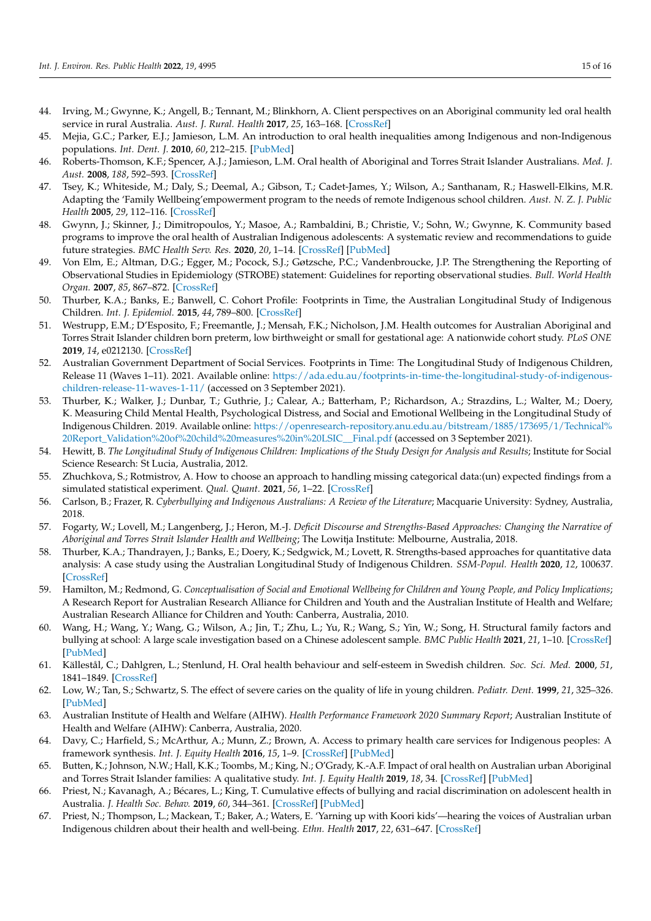- <span id="page-15-0"></span>44. Irving, M.; Gwynne, K.; Angell, B.; Tennant, M.; Blinkhorn, A. Client perspectives on an Aboriginal community led oral health service in rural Australia. *Aust. J. Rural. Health* **2017**, *25*, 163–168. [\[CrossRef\]](http://doi.org/10.1111/ajr.12307)
- 45. Mejia, G.C.; Parker, E.J.; Jamieson, L.M. An introduction to oral health inequalities among Indigenous and non-Indigenous populations. *Int. Dent. J.* **2010**, *60*, 212–215. [\[PubMed\]](http://www.ncbi.nlm.nih.gov/pubmed/20718305)
- <span id="page-15-1"></span>46. Roberts-Thomson, K.F.; Spencer, A.J.; Jamieson, L.M. Oral health of Aboriginal and Torres Strait Islander Australians. *Med. J. Aust.* **2008**, *188*, 592–593. [\[CrossRef\]](http://doi.org/10.5694/j.1326-5377.2008.tb01798.x)
- <span id="page-15-2"></span>47. Tsey, K.; Whiteside, M.; Daly, S.; Deemal, A.; Gibson, T.; Cadet-James, Y.; Wilson, A.; Santhanam, R.; Haswell-Elkins, M.R. Adapting the 'Family Wellbeing'empowerment program to the needs of remote Indigenous school children. *Aust. N. Z. J. Public Health* **2005**, *29*, 112–116. [\[CrossRef\]](http://doi.org/10.1111/j.1467-842X.2005.tb00059.x)
- <span id="page-15-3"></span>48. Gwynn, J.; Skinner, J.; Dimitropoulos, Y.; Masoe, A.; Rambaldini, B.; Christie, V.; Sohn, W.; Gwynne, K. Community based programs to improve the oral health of Australian Indigenous adolescents: A systematic review and recommendations to guide future strategies. *BMC Health Serv. Res.* **2020**, *20*, 1–14. [\[CrossRef\]](http://doi.org/10.1186/s12913-020-05247-w) [\[PubMed\]](http://www.ncbi.nlm.nih.gov/pubmed/32375764)
- <span id="page-15-4"></span>49. Von Elm, E.; Altman, D.G.; Egger, M.; Pocock, S.J.; Gøtzsche, P.C.; Vandenbroucke, J.P. The Strengthening the Reporting of Observational Studies in Epidemiology (STROBE) statement: Guidelines for reporting observational studies. *Bull. World Health Organ.* **2007**, *85*, 867–872. [\[CrossRef\]](http://doi.org/10.2471/BLT.07.045120)
- <span id="page-15-5"></span>50. Thurber, K.A.; Banks, E.; Banwell, C. Cohort Profile: Footprints in Time, the Australian Longitudinal Study of Indigenous Children. *Int. J. Epidemiol.* **2015**, *44*, 789–800. [\[CrossRef\]](http://doi.org/10.1093/ije/dyu122)
- <span id="page-15-6"></span>51. Westrupp, E.M.; D'Esposito, F.; Freemantle, J.; Mensah, F.K.; Nicholson, J.M. Health outcomes for Australian Aboriginal and Torres Strait Islander children born preterm, low birthweight or small for gestational age: A nationwide cohort study. *PLoS ONE* **2019**, *14*, e0212130. [\[CrossRef\]](http://doi.org/10.1371/journal.pone.0212130)
- <span id="page-15-7"></span>52. Australian Government Department of Social Services. Footprints in Time: The Longitudinal Study of Indigenous Children, Release 11 (Waves 1–11). 2021. Available online: [https://ada.edu.au/footprints-in-time-the-longitudinal-study-of-indigenous](https://ada.edu.au/footprints-in-time-the-longitudinal-study-of-indigenous-children-release-11-waves-1-11/)[children-release-11-waves-1-11/](https://ada.edu.au/footprints-in-time-the-longitudinal-study-of-indigenous-children-release-11-waves-1-11/) (accessed on 3 September 2021).
- <span id="page-15-8"></span>53. Thurber, K.; Walker, J.; Dunbar, T.; Guthrie, J.; Calear, A.; Batterham, P.; Richardson, A.; Strazdins, L.; Walter, M.; Doery, K. Measuring Child Mental Health, Psychological Distress, and Social and Emotional Wellbeing in the Longitudinal Study of Indigenous Children. 2019. Available online: [https://openresearch-repository.anu.edu.au/bitstream/1885/173695/1/Technical%](https://openresearch-repository.anu.edu.au/bitstream/1885/173695/1/Technical%20Report_Validation%20of%20child%20measures%20in%20LSIC__Final.pdf) [20Report\\_Validation%20of%20child%20measures%20in%20LSIC\\_\\_Final.pdf](https://openresearch-repository.anu.edu.au/bitstream/1885/173695/1/Technical%20Report_Validation%20of%20child%20measures%20in%20LSIC__Final.pdf) (accessed on 3 September 2021).
- <span id="page-15-9"></span>54. Hewitt, B. *The Longitudinal Study of Indigenous Children: Implications of the Study Design for Analysis and Results*; Institute for Social Science Research: St Lucia, Australia, 2012.
- <span id="page-15-10"></span>55. Zhuchkova, S.; Rotmistrov, A. How to choose an approach to handling missing categorical data:(un) expected findings from a simulated statistical experiment. *Qual. Quant.* **2021**, *56*, 1–22. [\[CrossRef\]](http://doi.org/10.1007/s11135-021-01114-w)
- <span id="page-15-11"></span>56. Carlson, B.; Frazer, R. *Cyberbullying and Indigenous Australians: A Review of the Literature*; Macquarie University: Sydney, Australia, 2018.
- 57. Fogarty, W.; Lovell, M.; Langenberg, J.; Heron, M.-J. *Deficit Discourse and Strengths-Based Approaches: Changing the Narrative of Aboriginal and Torres Strait Islander Health and Wellbeing*; The Lowitja Institute: Melbourne, Australia, 2018.
- <span id="page-15-12"></span>58. Thurber, K.A.; Thandrayen, J.; Banks, E.; Doery, K.; Sedgwick, M.; Lovett, R. Strengths-based approaches for quantitative data analysis: A case study using the Australian Longitudinal Study of Indigenous Children. *SSM-Popul. Health* **2020**, *12*, 100637. [\[CrossRef\]](http://doi.org/10.1016/j.ssmph.2020.100637)
- <span id="page-15-13"></span>59. Hamilton, M.; Redmond, G. *Conceptualisation of Social and Emotional Wellbeing for Children and Young People, and Policy Implications*; A Research Report for Australian Research Alliance for Children and Youth and the Australian Institute of Health and Welfare; Australian Research Alliance for Children and Youth: Canberra, Australia, 2010.
- <span id="page-15-14"></span>60. Wang, H.; Wang, Y.; Wang, G.; Wilson, A.; Jin, T.; Zhu, L.; Yu, R.; Wang, S.; Yin, W.; Song, H. Structural family factors and bullying at school: A large scale investigation based on a Chinese adolescent sample. *BMC Public Health* **2021**, *21*, 1–10. [\[CrossRef\]](http://doi.org/10.1186/s12889-021-12367-3) [\[PubMed\]](http://www.ncbi.nlm.nih.gov/pubmed/34895204)
- <span id="page-15-15"></span>61. Källestål, C.; Dahlgren, L.; Stenlund, H. Oral health behaviour and self-esteem in Swedish children. *Soc. Sci. Med.* **2000**, *51*, 1841–1849. [\[CrossRef\]](http://doi.org/10.1016/S0277-9536(00)00115-5)
- <span id="page-15-16"></span>62. Low, W.; Tan, S.; Schwartz, S. The effect of severe caries on the quality of life in young children. *Pediatr. Dent.* **1999**, *21*, 325–326. [\[PubMed\]](http://www.ncbi.nlm.nih.gov/pubmed/10509332)
- <span id="page-15-17"></span>63. Australian Institute of Health and Welfare (AIHW). *Health Performance Framework 2020 Summary Report*; Australian Institute of Health and Welfare (AIHW): Canberra, Australia, 2020.
- <span id="page-15-18"></span>64. Davy, C.; Harfield, S.; McArthur, A.; Munn, Z.; Brown, A. Access to primary health care services for Indigenous peoples: A framework synthesis. *Int. J. Equity Health* **2016**, *15*, 1–9. [\[CrossRef\]](http://doi.org/10.1186/s12939-016-0450-5) [\[PubMed\]](http://www.ncbi.nlm.nih.gov/pubmed/27716235)
- <span id="page-15-19"></span>65. Butten, K.; Johnson, N.W.; Hall, K.K.; Toombs, M.; King, N.; O'Grady, K.-A.F. Impact of oral health on Australian urban Aboriginal and Torres Strait Islander families: A qualitative study. *Int. J. Equity Health* **2019**, *18*, 34. [\[CrossRef\]](http://doi.org/10.1186/s12939-019-0937-y) [\[PubMed\]](http://www.ncbi.nlm.nih.gov/pubmed/30777079)
- <span id="page-15-20"></span>66. Priest, N.; Kavanagh, A.; Bécares, L.; King, T. Cumulative effects of bullying and racial discrimination on adolescent health in Australia. *J. Health Soc. Behav.* **2019**, *60*, 344–361. [\[CrossRef\]](http://doi.org/10.1177/0022146519868847) [\[PubMed\]](http://www.ncbi.nlm.nih.gov/pubmed/31526020)
- 67. Priest, N.; Thompson, L.; Mackean, T.; Baker, A.; Waters, E. 'Yarning up with Koori kids'—hearing the voices of Australian urban Indigenous children about their health and well-being. *Ethn. Health* **2017**, *22*, 631–647. [\[CrossRef\]](http://doi.org/10.1080/13557858.2016.1246418)